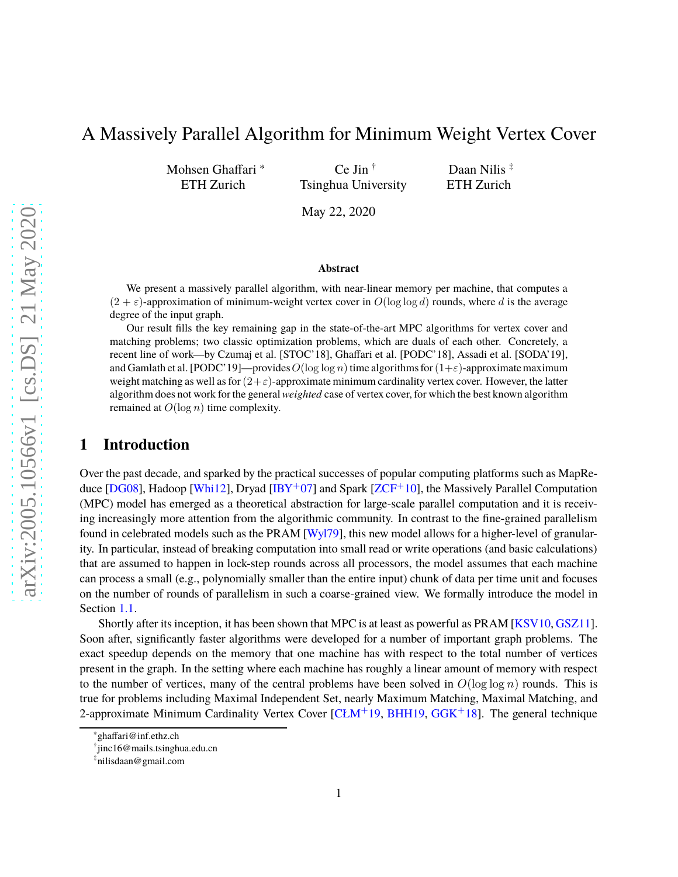# A Massively Parallel Algorithm for Minimum Weight Vertex Cover

Mohsen Ghaffari <sup>∗</sup> ETH Zurich

Ce Jin † Tsinghua University

Daan Nilis<sup>‡</sup> ETH Zurich

May 22, 2020

#### **Abstract**

We present a massively parallel algorithm, with near-linear memory per machine, that computes a  $(2 + \varepsilon)$ -approximation of minimum-weight vertex cover in  $O(\log \log d)$  rounds, where d is the average degree of the input graph.

Our result fills the key remaining gap in the state-of-the-art MPC algorithms for vertex cover and matching problems; two classic optimization problems, which are duals of each other. Concretely, a recent line of work—by Czumaj et al. [STOC'18], Ghaffari et al. [PODC'18], Assadi et al. [SODA'19], and Gamlath et al. [PODC'19]—provides  $O(\log \log n)$  time algorithms for  $(1+\varepsilon)$ -approximate maximum weight matching as well as for  $(2+\varepsilon)$ -approximate minimum cardinality vertex cover. However, the latter algorithm does not work for the general *weighted* case of vertex cover, for which the best known algorithm remained at  $O(\log n)$  time complexity.

### **1 Introduction**

Over the past decade, and sparked by the practical successes of popular computing platforms such as MapRe-duce [\[DG08\]](#page-19-0), Hadoop [\[Whi12\]](#page-20-0), Dryad [\[IBY](#page-19-1)+07] and Spark [\[ZCF](#page-20-1)+10], the Massively Parallel Computation (MPC) model has emerged as a theoretical abstraction for large-scale parallel computation and it is receiving increasingly more attention from the algorithmic community. In contrast to the fine-grained parallelism found in celebrated models such as the PRAM [\[Wyl79\]](#page-20-2), this new model allows for a higher-level of granularity. In particular, instead of breaking computation into small read or write operations (and basic calculations) that are assumed to happen in lock-step rounds across all processors, the model assumes that each machine can process a small (e.g., polynomially smaller than the entire input) chunk of data per time unit and focuses on the number of rounds of parallelism in such a coarse-grained view. We formally introduce the model in Section [1.1.](#page-1-0)

Shortly after its inception, it has been shown that MPC is at least as powerful as PRAM [\[KSV10,](#page-20-3) [GSZ11\]](#page-19-2). Soon after, significantly faster algorithms were developed for a number of important graph problems. The exact speedup depends on the memory that one machine has with respect to the total number of vertices present in the graph. In the setting where each machine has roughly a linear amount of memory with respect to the number of vertices, many of the central problems have been solved in  $O(\log \log n)$  rounds. This is true for problems including Maximal Independent Set, nearly Maximum Matching, Maximal Matching, and 2-approximate Minimum Cardinality Vertex Cover  $[CLM+19, BHH19, GGK+18]$  $[CLM+19, BHH19, GGK+18]$  $[CLM+19, BHH19, GGK+18]$  $[CLM+19, BHH19, GGK+18]$  $[CLM+19, BHH19, GGK+18]$ . The general technique

<sup>∗</sup> ghaffari@inf.ethz.ch

<sup>†</sup> jinc16@mails.tsinghua.edu.cn

<sup>‡</sup> nilisdaan@gmail.com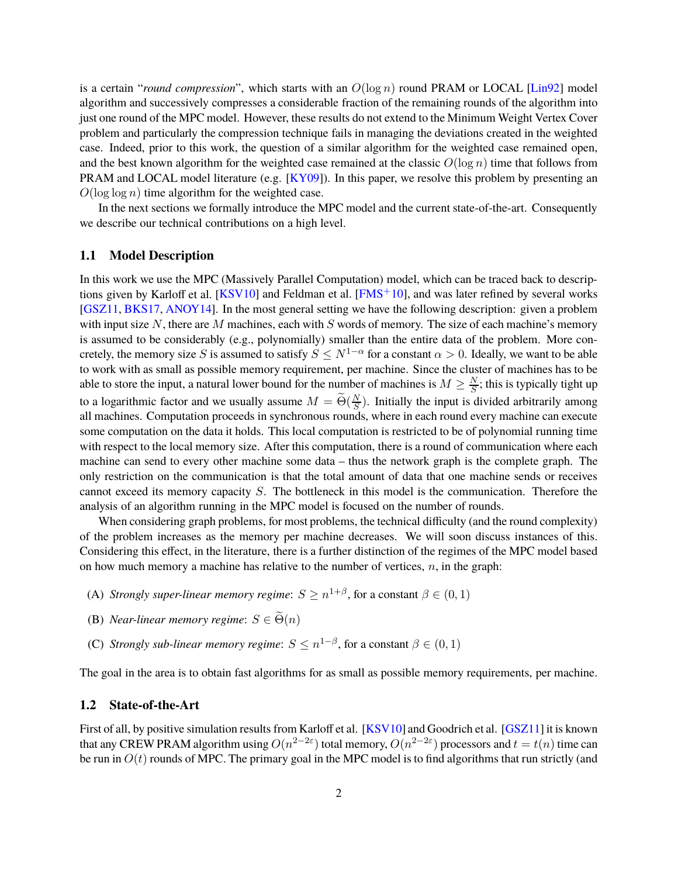is a certain "*round compression*", which starts with an O(log n) round PRAM or LOCAL [\[Lin92\]](#page-20-4) model algorithm and successively compresses a considerable fraction of the remaining rounds of the algorithm into just one round of the MPC model. However, these results do not extend to the Minimum Weight Vertex Cover problem and particularly the compression technique fails in managing the deviations created in the weighted case. Indeed, prior to this work, the question of a similar algorithm for the weighted case remained open, and the best known algorithm for the weighted case remained at the classic  $O(\log n)$  time that follows from PRAM and LOCAL model literature (e.g.  $[KY09]$ ). In this paper, we resolve this problem by presenting an  $O(\log \log n)$  time algorithm for the weighted case.

In the next sections we formally introduce the MPC model and the current state-of-the-art. Consequently we describe our technical contributions on a high level.

#### <span id="page-1-0"></span>**1.1 Model Description**

In this work we use the MPC (Massively Parallel Computation) model, which can be traced back to descriptions given by Karloff et al.  $[KSV10]$  and Feldman et al.  $[FMS<sup>+</sup>10]$ , and was later refined by several works [\[GSZ11,](#page-19-2) [BKS17,](#page-19-6) [ANOY14\]](#page-18-1). In the most general setting we have the following description: given a problem with input size N, there are M machines, each with S words of memory. The size of each machine's memory is assumed to be considerably (e.g., polynomially) smaller than the entire data of the problem. More concretely, the memory size S is assumed to satisfy  $S \leq N^{1-\alpha}$  for a constant  $\alpha > 0$ . Ideally, we want to be able to work with as small as possible memory requirement, per machine. Since the cluster of machines has to be able to store the input, a natural lower bound for the number of machines is  $M \ge \frac{N}{S}$ ; this is typically tight up to a logarithmic factor and we usually assume  $M = \widetilde{\Theta}(\frac{N}{S})$ . Initially the input is divided arbitrarily among all machines. Computation proceeds in synchronous rounds, where in each round every machine can execute some computation on the data it holds. This local computation is restricted to be of polynomial running time with respect to the local memory size. After this computation, there is a round of communication where each machine can send to every other machine some data – thus the network graph is the complete graph. The only restriction on the communication is that the total amount of data that one machine sends or receives cannot exceed its memory capacity S. The bottleneck in this model is the communication. Therefore the analysis of an algorithm running in the MPC model is focused on the number of rounds.

When considering graph problems, for most problems, the technical difficulty (and the round complexity) of the problem increases as the memory per machine decreases. We will soon discuss instances of this. Considering this effect, in the literature, there is a further distinction of the regimes of the MPC model based on how much memory a machine has relative to the number of vertices,  $n$ , in the graph:

- (A) *Strongly super-linear memory regime:*  $S \ge n^{1+\beta}$ , for a constant  $\beta \in (0,1)$
- (B) *Near-linear memory regime:*  $S \in \widetilde{\Theta}(n)$
- (C) *Strongly sub-linear memory regime*:  $S \leq n^{1-\beta}$ , for a constant  $\beta \in (0,1)$

The goal in the area is to obtain fast algorithms for as small as possible memory requirements, per machine.

#### **1.2 State-of-the-Art**

First of all, by positive simulation results from Karloff et al. [\[KSV10\]](#page-20-3) and Goodrich et al. [\[GSZ11\]](#page-19-2) it is known that any CREW PRAM algorithm using  $O(n^{2-2\varepsilon})$  total memory,  $O(n^{2-2\varepsilon})$  processors and  $t=t(n)$  time can be run in  $O(t)$  rounds of MPC. The primary goal in the MPC model is to find algorithms that run strictly (and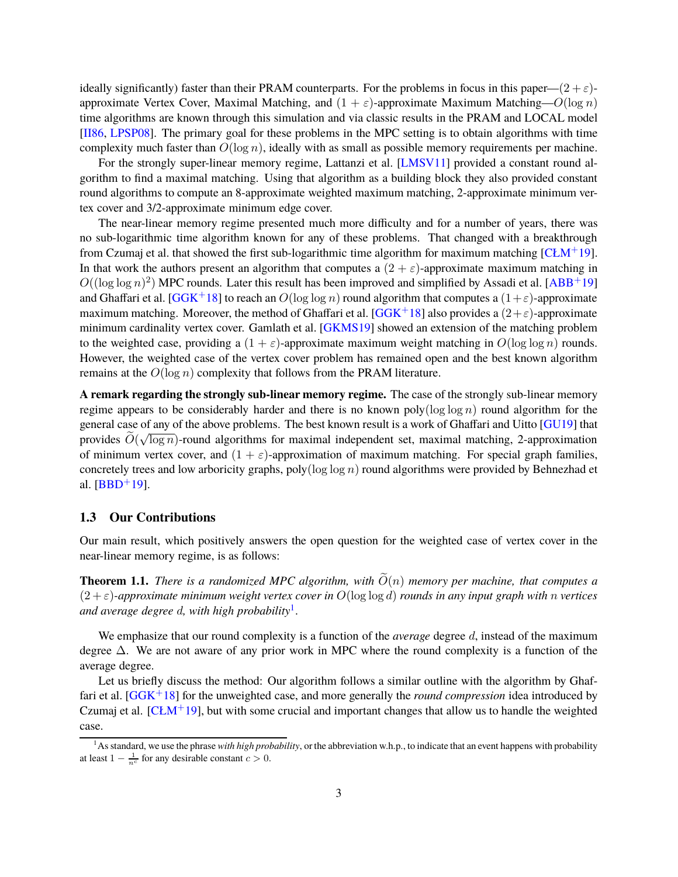ideally significantly) faster than their PRAM counterparts. For the problems in focus in this paper— $(2 + \varepsilon)$ approximate Vertex Cover, Maximal Matching, and  $(1 + \varepsilon)$ -approximate Maximum Matching— $O(\log n)$ time algorithms are known through this simulation and via classic results in the PRAM and LOCAL model [\[II86,](#page-19-7) [LPSP08\]](#page-20-6). The primary goal for these problems in the MPC setting is to obtain algorithms with time complexity much faster than  $O(\log n)$ , ideally with as small as possible memory requirements per machine.

For the strongly super-linear memory regime, Lattanzi et al. [\[LMSV11\]](#page-20-7) provided a constant round algorithm to find a maximal matching. Using that algorithm as a building block they also provided constant round algorithms to compute an 8-approximate weighted maximum matching, 2-approximate minimum vertex cover and 3/2-approximate minimum edge cover.

The near-linear memory regime presented much more difficulty and for a number of years, there was no sub-logarithmic time algorithm known for any of these problems. That changed with a breakthrough from Czumaj et al. that showed the first sub-logarithmic time algorithm for maximum matching  $[CLM^+19]$ . In that work the authors present an algorithm that computes a  $(2 + \varepsilon)$ -approximate maximum matching in  $O((\log \log n)^2)$  MPC rounds. Later this result has been improved and simplified by Assadi et al. [\[ABB](#page-18-2)<sup>+</sup>19] and Ghaffari et al. [\[GGK](#page-19-4)+18] to reach an  $O(\log \log n)$  round algorithm that computes a  $(1+\varepsilon)$ -approximate maximum matching. Moreover, the method of Ghaffari et al. [\[GGK](#page-19-4)+18] also provides a  $(2+\epsilon)$ -approximate minimum cardinality vertex cover. Gamlath et al. [\[GKMS19\]](#page-19-8) showed an extension of the matching problem to the weighted case, providing a  $(1 + \varepsilon)$ -approximate maximum weight matching in  $O(\log \log n)$  rounds. However, the weighted case of the vertex cover problem has remained open and the best known algorithm remains at the  $O(\log n)$  complexity that follows from the PRAM literature.

**A remark regarding the strongly sub-linear memory regime.** The case of the strongly sub-linear memory regime appears to be considerably harder and there is no known poly( $\log \log n$ ) round algorithm for the general case of any of the above problems. The best known result is a work of Ghaffari and Uitto [\[GU19\]](#page-19-9) that provides  $\widetilde{O}(\sqrt{\log n})$ -round algorithms for maximal independent set, maximal matching, 2-approximation of minimum vertex cover, and  $(1 + \varepsilon)$ -approximation of maximum matching. For special graph families, concretely trees and low arboricity graphs, poly( $\log \log n$ ) round algorithms were provided by Behnezhad et al.  $[BBD+19]$ .

#### **1.3 Our Contributions**

Our main result, which positively answers the open question for the weighted case of vertex cover in the near-linear memory regime, is as follows:

**Theorem 1.1.** *There is a randomized MPC algorithm, with*  $\widetilde{O}(n)$  *memory per machine, that computes a* (2 + ε)*-approximate minimum weight vertex cover in* O(log log d) *rounds in any input graph with* n *vertices and average degree* d*, with high probability*[1](#page-2-0) *.*

We emphasize that our round complexity is a function of the *average* degree d, instead of the maximum degree ∆. We are not aware of any prior work in MPC where the round complexity is a function of the average degree.

Let us briefly discuss the method: Our algorithm follows a similar outline with the algorithm by Ghaffari et al. [\[GGK](#page-19-4)+18] for the unweighted case, and more generally the *round compression* idea introduced by Czumaj et al.  $[CLM+19]$ , but with some crucial and important changes that allow us to handle the weighted case.

<span id="page-2-0"></span><sup>&</sup>lt;sup>1</sup>As standard, we use the phrase *with high probability*, or the abbreviation w.h.p., to indicate that an event happens with probability at least  $1 - \frac{1}{n^c}$  for any desirable constant  $c > 0$ .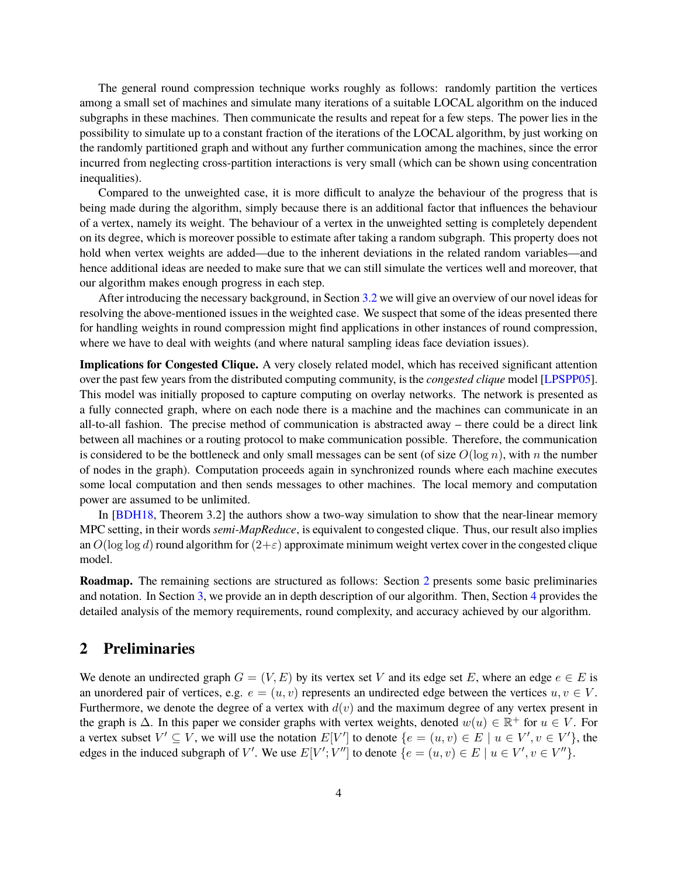The general round compression technique works roughly as follows: randomly partition the vertices among a small set of machines and simulate many iterations of a suitable LOCAL algorithm on the induced subgraphs in these machines. Then communicate the results and repeat for a few steps. The power lies in the possibility to simulate up to a constant fraction of the iterations of the LOCAL algorithm, by just working on the randomly partitioned graph and without any further communication among the machines, since the error incurred from neglecting cross-partition interactions is very small (which can be shown using concentration inequalities).

Compared to the unweighted case, it is more difficult to analyze the behaviour of the progress that is being made during the algorithm, simply because there is an additional factor that influences the behaviour of a vertex, namely its weight. The behaviour of a vertex in the unweighted setting is completely dependent on its degree, which is moreover possible to estimate after taking a random subgraph. This property does not hold when vertex weights are added—due to the inherent deviations in the related random variables—and hence additional ideas are needed to make sure that we can still simulate the vertices well and moreover, that our algorithm makes enough progress in each step.

After introducing the necessary background, in Section [3.2](#page-6-0) we will give an overview of our novel ideas for resolving the above-mentioned issues in the weighted case. We suspect that some of the ideas presented there for handling weights in round compression might find applications in other instances of round compression, where we have to deal with weights (and where natural sampling ideas face deviation issues).

**Implications for Congested Clique.** A very closely related model, which has received significant attention over the past few years from the distributed computing community, is the *congested clique* model [\[LPSPP05\]](#page-20-8). This model was initially proposed to capture computing on overlay networks. The network is presented as a fully connected graph, where on each node there is a machine and the machines can communicate in an all-to-all fashion. The precise method of communication is abstracted away – there could be a direct link between all machines or a routing protocol to make communication possible. Therefore, the communication is considered to be the bottleneck and only small messages can be sent (of size  $O(\log n)$ , with n the number of nodes in the graph). Computation proceeds again in synchronized rounds where each machine executes some local computation and then sends messages to other machines. The local memory and computation power are assumed to be unlimited.

In [\[BDH18,](#page-18-4) Theorem 3.2] the authors show a two-way simulation to show that the near-linear memory MPC setting, in their words *semi-MapReduce*, is equivalent to congested clique. Thus, our result also implies an  $O(\log \log d)$  round algorithm for  $(2+\varepsilon)$  approximate minimum weight vertex cover in the congested clique model.

**Roadmap.** The remaining sections are structured as follows: Section [2](#page-3-0) presents some basic preliminaries and notation. In Section [3,](#page-4-0) we provide an in depth description of our algorithm. Then, Section [4](#page-10-0) provides the detailed analysis of the memory requirements, round complexity, and accuracy achieved by our algorithm.

### <span id="page-3-0"></span>**2 Preliminaries**

We denote an undirected graph  $G = (V, E)$  by its vertex set V and its edge set E, where an edge  $e \in E$  is an unordered pair of vertices, e.g.  $e = (u, v)$  represents an undirected edge between the vertices  $u, v \in V$ . Furthermore, we denote the degree of a vertex with  $d(v)$  and the maximum degree of any vertex present in the graph is  $\Delta$ . In this paper we consider graphs with vertex weights, denoted  $w(u) \in \mathbb{R}^+$  for  $u \in V$ . For a vertex subset  $V' \subseteq V$ , we will use the notation  $E[V']$  to denote  $\{e = (u, v) \in E \mid u \in V', v \in V'\}$ , the edges in the induced subgraph of V'. We use  $E[V';V'']$  to denote  $\{e = (u, v) \in E \mid u \in V', v \in V''\}$ .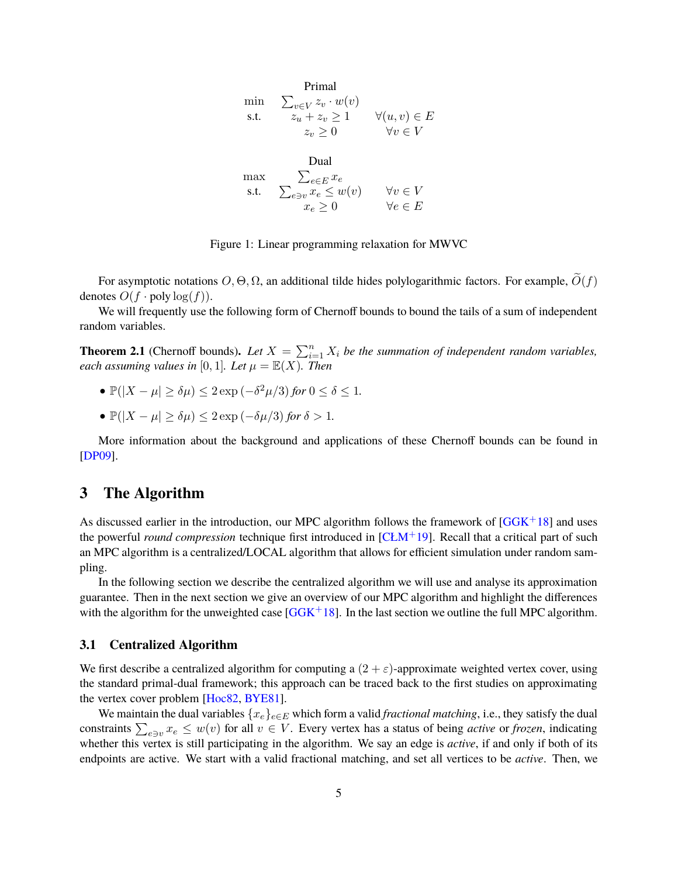|      | Primal                          |                        |
|------|---------------------------------|------------------------|
| mın  | $\sum_{v \in V} z_v \cdot w(v)$ |                        |
| s.t. | $z_u + z_v \geq 1$              | $\forall (u, v) \in E$ |
|      | $z_v > 0$                       | $\forall v \in V$      |
|      |                                 |                        |
|      | Dual                            |                        |
| max  | $\sum_{e \in E} x_e$            |                        |
| s.t. | $\sum_{e \ni v} x_e \leq w(v)$  | $\forall v \in V$      |
|      | $x_e \geq 0$                    | $\forall e \in E$      |
|      |                                 |                        |

Figure 1: Linear programming relaxation for MWVC

For asymptotic notations  $O, \Theta, \Omega$ , an additional tilde hides polylogarithmic factors. For example,  $O(f)$ denotes  $O(f \cdot \text{poly}\log(f)).$ 

We will frequently use the following form of Chernoff bounds to bound the tails of a sum of independent random variables.

**Theorem 2.1** (Chernoff bounds). Let  $X = \sum_{i=1}^{n} X_i$  be the summation of independent random variables, *each assuming values in* [0, 1]*. Let*  $\mu = \mathbb{E}(X)$ *. Then* 

- $\mathbb{P}(|X \mu| \ge \delta \mu)$  ≤ 2 exp  $(-\delta^2 \mu/3)$  *for*  $0 \le \delta \le 1$ *.*
- $\mathbb{P}(|X \mu| \ge \delta \mu) \le 2 \exp(-\delta \mu/3)$  *for*  $\delta > 1$ *.*

More information about the background and applications of these Chernoff bounds can be found in [\[DP09\]](#page-19-10).

### <span id="page-4-0"></span>**3 The Algorithm**

As discussed earlier in the introduction, our MPC algorithm follows the framework of  $[GGK^+18]$  and uses the powerful *round compression* technique first introduced in [\[CŁM](#page-19-3)+19]. Recall that a critical part of such an MPC algorithm is a centralized/LOCAL algorithm that allows for efficient simulation under random sampling.

In the following section we describe the centralized algorithm we will use and analyse its approximation guarantee. Then in the next section we give an overview of our MPC algorithm and highlight the differences with the algorithm for the unweighted case  $[GGK^+18]$ . In the last section we outline the full MPC algorithm.

#### **3.1 Centralized Algorithm**

We first describe a centralized algorithm for computing a  $(2 + \varepsilon)$ -approximate weighted vertex cover, using the standard primal-dual framework; this approach can be traced back to the first studies on approximating the vertex cover problem [\[Hoc82,](#page-19-11) [BYE81\]](#page-19-12).

We maintain the dual variables  $\{x_e\}_{e \in E}$  which form a valid *fractional matching*, i.e., they satisfy the dual constraints  $\sum_{e \ni v} x_e \leq w(v)$  for all  $v \in V$ . Every vertex has a status of being *active* or *frozen*, indicating whether this vertex is still participating in the algorithm. We say an edge is *active*, if and only if both of its endpoints are active. We start with a valid fractional matching, and set all vertices to be *active*. Then, we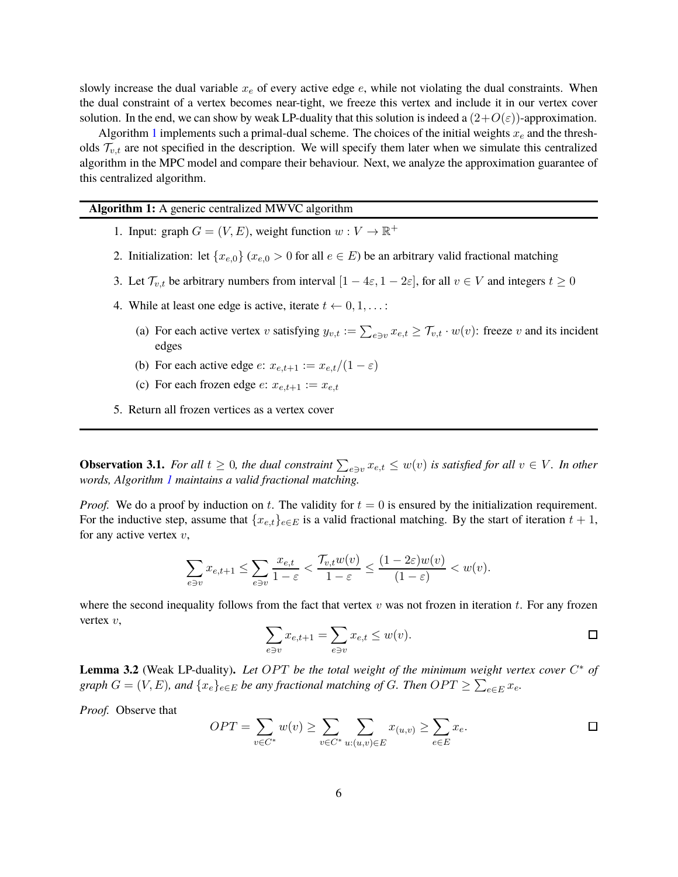slowly increase the dual variable  $x_e$  of every active edge  $e$ , while not violating the dual constraints. When the dual constraint of a vertex becomes near-tight, we freeze this vertex and include it in our vertex cover solution. In the end, we can show by weak LP-duality that this solution is indeed a  $(2+O(\varepsilon))$ -approximation.

Algorithm [1](#page-5-0) implements such a primal-dual scheme. The choices of the initial weights  $x_e$  and the thresholds  $\mathcal{T}_{v,t}$  are not specified in the description. We will specify them later when we simulate this centralized algorithm in the MPC model and compare their behaviour. Next, we analyze the approximation guarantee of this centralized algorithm.

**Algorithm 1:** A generic centralized MWVC algorithm

- 1. Input: graph  $G = (V, E)$ , weight function  $w : V \to \mathbb{R}^+$
- 2. Initialization: let  $\{x_{e,0}\}\ (x_{e,0} > 0 \text{ for all } e \in E)$  be an arbitrary valid fractional matching
- 3. Let  $\mathcal{T}_{v,t}$  be arbitrary numbers from interval  $[1-4\varepsilon, 1-2\varepsilon]$ , for all  $v \in V$  and integers  $t \ge 0$
- <span id="page-5-1"></span>4. While at least one edge is active, iterate  $t \leftarrow 0, 1, \ldots$ :
	- (a) For each active vertex v satisfying  $y_{v,t} := \sum_{e \ni v} x_{e,t} \ge \mathcal{T}_{v,t} \cdot w(v)$ : freeze v and its incident edges
	- (b) For each active edge  $e: x_{e,t+1} := x_{e,t}/(1-\varepsilon)$
	- (c) For each frozen edge  $e: x_{e,t+1} := x_{e,t}$
- <span id="page-5-0"></span>5. Return all frozen vertices as a vertex cover

<span id="page-5-2"></span>**Observation 3.1.** *For all*  $t \geq 0$ *, the dual constraint*  $\sum_{e \ni v} x_{e,t} \leq w(v)$  *is satisfied for all*  $v \in V$ *. In other words, Algorithm [1](#page-5-0) maintains a valid fractional matching.*

*Proof.* We do a proof by induction on t. The validity for  $t = 0$  is ensured by the initialization requirement. For the inductive step, assume that  $\{x_{e,t}\}_{e \in E}$  is a valid fractional matching. By the start of iteration  $t + 1$ , for any active vertex  $v$ ,

$$
\sum_{e \ni v} x_{e,t+1} \le \sum_{e \ni v} \frac{x_{e,t}}{1-\varepsilon} < \frac{\mathcal{T}_{v,t}w(v)}{1-\varepsilon} \le \frac{(1-2\varepsilon)w(v)}{(1-\varepsilon)} < w(v).
$$

where the second inequality follows from the fact that vertex  $v$  was not frozen in iteration  $t$ . For any frozen vertex  $v$ ,  $\sum$ 

$$
\sum_{e \ni v} x_{e,t+1} = \sum_{e \ni v} x_{e,t} \le w(v).
$$

**Lemma 3.2** (Weak LP-duality). Let OPT be the total weight of the minimum weight vertex cover  $C^*$  of  $graph\ G = (V, E)$ , and  $\{x_e\}_{e \in E}$  *be any fractional matching of G. Then*  $OPT \ge \sum_{e \in E} x_e$ .

<span id="page-5-3"></span>*Proof.* Observe that

$$
OPT = \sum_{v \in C^*} w(v) \ge \sum_{v \in C^*} \sum_{u:(u,v) \in E} x_{(u,v)} \ge \sum_{e \in E} x_e.
$$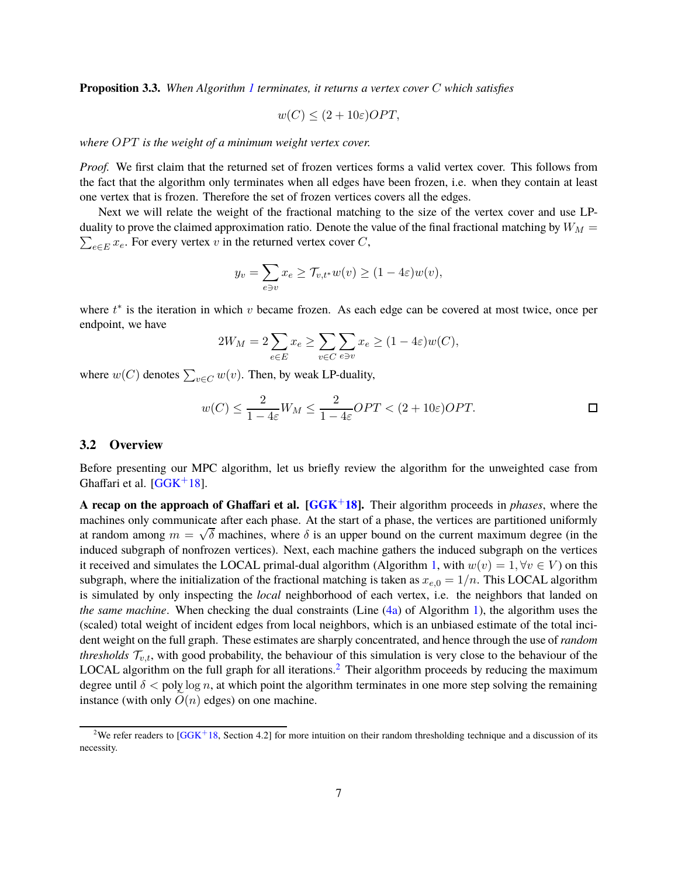**Proposition 3.3.** *When Algorithm [1](#page-5-0) terminates, it returns a vertex cover* C *which satisfies*

$$
w(C) \le (2 + 10\varepsilon)OPT,
$$

*where OPT is the weight of a minimum weight vertex cover.* 

*Proof.* We first claim that the returned set of frozen vertices forms a valid vertex cover. This follows from the fact that the algorithm only terminates when all edges have been frozen, i.e. when they contain at least one vertex that is frozen. Therefore the set of frozen vertices covers all the edges.

Next we will relate the weight of the fractional matching to the size of the vertex cover and use LP- $\sum_{e \in E} x_e$ . For every vertex v in the returned vertex cover C, duality to prove the claimed approximation ratio. Denote the value of the final fractional matching by  $W_M$  =

$$
y_v = \sum_{e \ni v} x_e \ge \mathcal{T}_{v,t^*} w(v) \ge (1 - 4\varepsilon) w(v),
$$

where  $t^*$  is the iteration in which  $v$  became frozen. As each edge can be covered at most twice, once per endpoint, we have

$$
2W_M = 2\sum_{e \in E} x_e \ge \sum_{v \in C} \sum_{e \ni v} x_e \ge (1 - 4\varepsilon)w(C),
$$

where  $w(C)$  denotes  $\sum_{v \in C} w(v)$ . Then, by weak LP-duality,

$$
w(C) \le \frac{2}{1 - 4\varepsilon} W_M \le \frac{2}{1 - 4\varepsilon} OPT < (2 + 10\varepsilon) OPT.
$$

#### <span id="page-6-0"></span>**3.2 Overview**

Before presenting our MPC algorithm, let us briefly review the algorithm for the unweighted case from Ghaffari et al.  $[GGK^+18]$ .

**A recap on the approach of Ghaffari et al. [\[GGK](#page-19-4)**+**18].** Their algorithm proceeds in *phases*, where the machines only communicate after each phase. At the start of a phase, the vertices are partitioned uniformly at random among  $m = \sqrt{\delta}$  machines, where  $\delta$  is an upper bound on the current maximum degree (in the induced subgraph of nonfrozen vertices). Next, each machine gathers the induced subgraph on the vertices it received and simulates the LOCAL primal-dual algorithm (Algorithm [1,](#page-5-0) with  $w(v) = 1, \forall v \in V$ ) on this subgraph, where the initialization of the fractional matching is taken as  $x_{e,0} = 1/n$ . This LOCAL algorithm is simulated by only inspecting the *local* neighborhood of each vertex, i.e. the neighbors that landed on *the same machine*. When checking the dual constraints (Line [\(4a\)](#page-5-1) of Algorithm [1\)](#page-5-0), the algorithm uses the (scaled) total weight of incident edges from local neighbors, which is an unbiased estimate of the total incident weight on the full graph. These estimates are sharply concentrated, and hence through the use of *random thresholds*  $\mathcal{T}_{v,t}$ , with good probability, the behaviour of this simulation is very close to the behaviour of the LOCAL algorithm on the full graph for all iterations.<sup>[2](#page-6-1)</sup> Their algorithm proceeds by reducing the maximum degree until  $\delta$  < poly log n, at which point the algorithm terminates in one more step solving the remaining instance (with only  $\tilde{O}(n)$  edges) on one machine.

<span id="page-6-1"></span><sup>&</sup>lt;sup>2</sup>We refer readers to  $[GGK^+18,$  Section 4.2] for more intuition on their random thresholding technique and a discussion of its necessity.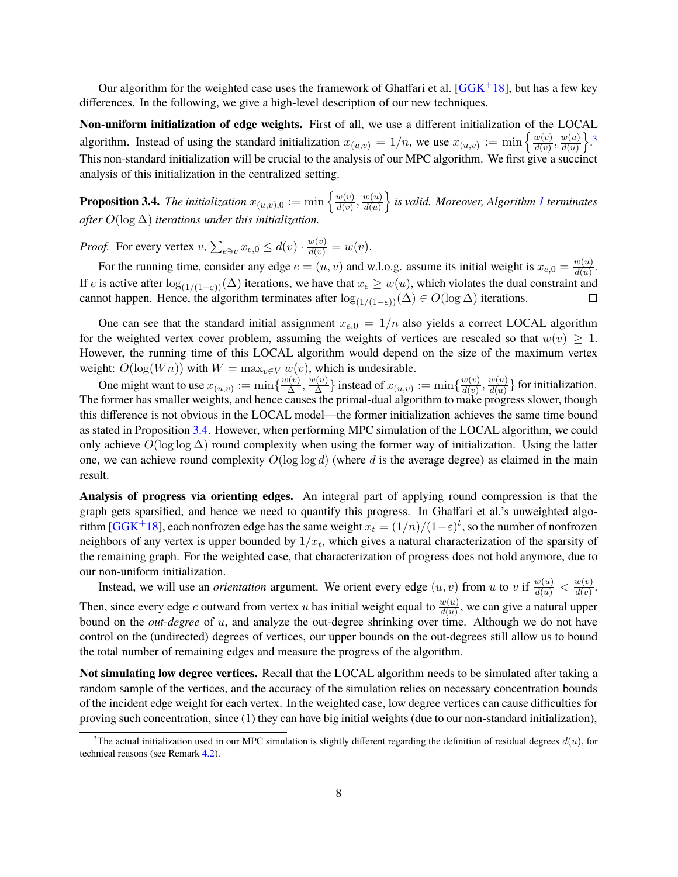Our algorithm for the weighted case uses the framework of Ghaffari et al. [\[GGK](#page-19-4)+18], but has a few key differences. In the following, we give a high-level description of our new techniques.

**Non-uniform initialization of edge weights.** First of all, we use a different initialization of the LOCAL algorithm. Instead of using the standard initialization  $x_{(u,v)} = 1/n$ , we use  $x_{(u,v)} := \min \left\{ \frac{w(v)}{d(v)} \right\}$  $\frac{w(v)}{d(v)}, \frac{w(u)}{d(u)}$  $d(u)$  $\}$ . This non-standard initialization will be crucial to the analysis of our MPC algorithm. We first give a succinct analysis of this initialization in the centralized setting.

<span id="page-7-1"></span>**Proposition 3.4.** The initialization  $x_{(u,v),0} := \min \left\{ \frac{w(v)}{d(v)} \right\}$  $\frac{w(v)}{d(v)}, \frac{w(u)}{d(u)}$  $d(u)$ o *is valid. Moreover, Algorithm [1](#page-5-0) terminates after* O(log ∆) *iterations under this initialization.*

*Proof.* For every vertex  $v, \sum_{e \ni v} x_{e,0} \le d(v) \cdot \frac{w(v)}{d(v)} = w(v)$ .

For the running time, consider any edge  $e = (u, v)$  and w.l.o.g. assume its initial weight is  $x_{e,0} = \frac{w(u)}{d(u)}$  $\frac{w(u)}{d(u)}$ . If e is active after  $\log_{(1/(1-\varepsilon))}(\Delta)$  iterations, we have that  $x_e \geq w(u)$ , which violates the dual constraint and cannot happen. Hence, the algorithm terminates after  $\log_{(1/(1-\varepsilon))}(\Delta) \in O(\log \Delta)$  iterations. cannot happen. Hence, the algorithm terminates after  $\log_{(1/(1-\varepsilon))}(\Delta) \in O(\log \Delta)$  iterations.

One can see that the standard initial assignment  $x_{e,0} = 1/n$  also yields a correct LOCAL algorithm for the weighted vertex cover problem, assuming the weights of vertices are rescaled so that  $w(v) \geq 1$ . However, the running time of this LOCAL algorithm would depend on the size of the maximum vertex weight:  $O(\log(Wn))$  with  $W = \max_{v \in V} w(v)$ , which is undesirable.

One might want to use  $x_{(u,v)} := \min\{\frac{w(v)}{\Delta}$  $\frac{w(v)}{\Delta}$ ,  $\frac{w(u)}{\Delta}$  $\{\frac{w(u)}{\Delta}\}$  instead of  $x_{(u,v)}:=\min\{\frac{w(v)}{d(v)}\}$  $\frac{w(v)}{d(v)}, \frac{w(u)}{d(u)}$  $\frac{d(u)}{d(u)}\}$  for initialization. The former has smaller weights, and hence causes the primal-dual algorithm to make progress slower, though this difference is not obvious in the LOCAL model—the former initialization achieves the same time bound as stated in Proposition [3.4.](#page-7-1) However, when performing MPC simulation of the LOCAL algorithm, we could only achieve  $O(\log \log \Delta)$  round complexity when using the former way of initialization. Using the latter one, we can achieve round complexity  $O(\log \log d)$  (where d is the average degree) as claimed in the main result.

**Analysis of progress via orienting edges.** An integral part of applying round compression is that the graph gets sparsified, and hence we need to quantify this progress. In Ghaffari et al.'s unweighted algo-rithm [\[GGK](#page-19-4)<sup>+</sup>18], each nonfrozen edge has the same weight  $x_t = (1/n)/(1-\varepsilon)^t$ , so the number of nonfrozen neighbors of any vertex is upper bounded by  $1/x_t$ , which gives a natural characterization of the sparsity of the remaining graph. For the weighted case, that characterization of progress does not hold anymore, due to our non-uniform initialization.

Instead, we will use an *orientation* argument. We orient every edge  $(u, v)$  from u to v if  $\frac{w(u)}{d(u)} < \frac{w(v)}{d(v)}$  $\frac{w(v)}{d(v)}$ . Then, since every edge *e* outward from vertex *u* has initial weight equal to  $\frac{w(u)}{d(u)}$ , we can give a natural upper bound on the *out-degree* of u, and analyze the out-degree shrinking over time. Although we do not have control on the (undirected) degrees of vertices, our upper bounds on the out-degrees still allow us to bound the total number of remaining edges and measure the progress of the algorithm.

**Not simulating low degree vertices.** Recall that the LOCAL algorithm needs to be simulated after taking a random sample of the vertices, and the accuracy of the simulation relies on necessary concentration bounds of the incident edge weight for each vertex. In the weighted case, low degree vertices can cause difficulties for proving such concentration, since (1) they can have big initial weights (due to our non-standard initialization),

<span id="page-7-0"></span><sup>&</sup>lt;sup>3</sup>The actual initialization used in our MPC simulation is slightly different regarding the definition of residual degrees  $d(u)$ , for technical reasons (see Remark [4.2\)](#page-11-0).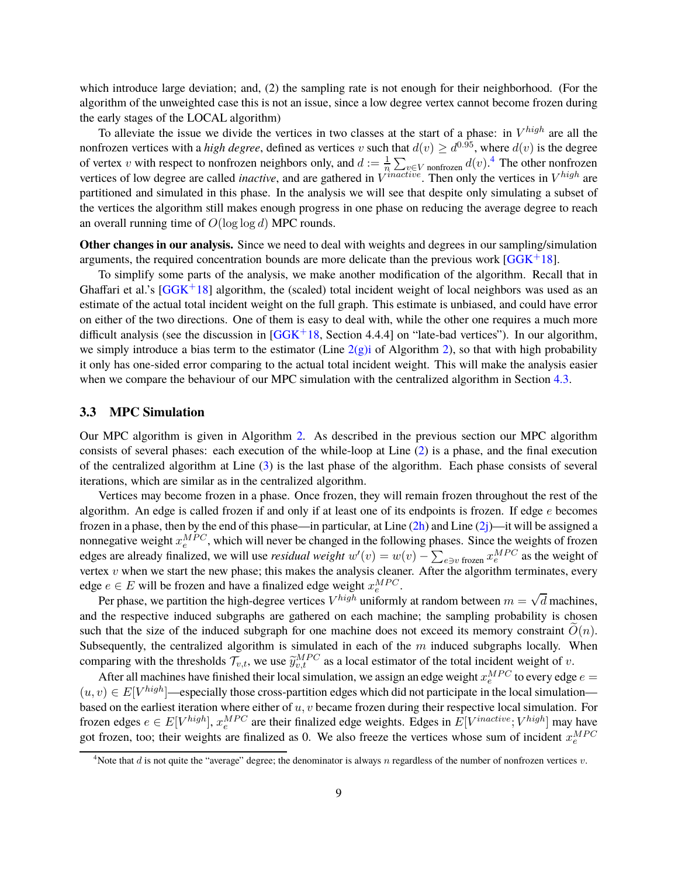which introduce large deviation; and, (2) the sampling rate is not enough for their neighborhood. (For the algorithm of the unweighted case this is not an issue, since a low degree vertex cannot become frozen during the early stages of the LOCAL algorithm)

To alleviate the issue we divide the vertices in two classes at the start of a phase: in  $V^{high}$  are all the nonfrozen vertices with a *high degree*, defined as vertices v such that  $d(v) \geq d^{0.95}$ , where  $d(v)$  is the degree of vertex v with respect to nonfrozen neighbors only, and  $d := \frac{1}{n} \sum_{v \in V} \text{nonfrozen} d(v)$ .<sup>[4](#page-8-0)</sup> The other nonfrozen vertices of low degree are called *inactive*, and are gathered in  $V^{inactive}$ . Then only the vertices in  $V^{high}$  are partitioned and simulated in this phase. In the analysis we will see that despite only simulating a subset of the vertices the algorithm still makes enough progress in one phase on reducing the average degree to reach an overall running time of  $O(\log \log d)$  MPC rounds.

**Other changes in our analysis.** Since we need to deal with weights and degrees in our sampling/simulation arguments, the required concentration bounds are more delicate than the previous work  $[G\overline{G}K^+18]$ .

To simplify some parts of the analysis, we make another modification of the algorithm. Recall that in Ghaffari et al.'s  $[GGK^+18]$  algorithm, the (scaled) total incident weight of local neighbors was used as an estimate of the actual total incident weight on the full graph. This estimate is unbiased, and could have error on either of the two directions. One of them is easy to deal with, while the other one requires a much more difficult analysis (see the discussion in  $[GGK^+18,$  Section 4.4.4] on "late-bad vertices"). In our algorithm, we simply introduce a bias term to the estimator (Line  $2(g)$ ) of Algorithm [2\)](#page-9-1), so that with high probability it only has one-sided error comparing to the actual total incident weight. This will make the analysis easier when we compare the behaviour of our MPC simulation with the centralized algorithm in Section [4.3.](#page-12-0)

#### **3.3 MPC Simulation**

Our MPC algorithm is given in Algorithm [2.](#page-9-1) As described in the previous section our MPC algorithm consists of several phases: each execution of the while-loop at Line [\(2\)](#page-9-2) is a phase, and the final execution of the centralized algorithm at Line [\(3\)](#page-9-3) is the last phase of the algorithm. Each phase consists of several iterations, which are similar as in the centralized algorithm.

Vertices may become frozen in a phase. Once frozen, they will remain frozen throughout the rest of the algorithm. An edge is called frozen if and only if at least one of its endpoints is frozen. If edge  $e$  becomes frozen in a phase, then by the end of this phase—in particular, at Line  $(2h)$  and Line  $(2j)$ —it will be assigned a nonnegative weight  $x_e^{MPC}$ , which will never be changed in the following phases. Since the weights of frozen edges are already finalized, we will use *residual weight*  $w'(v) = w(v) - \sum_{e \ni v} \int_{\text{frozen}} x_e^{MPC}$  as the weight of vertex  $v$  when we start the new phase; this makes the analysis cleaner. After the algorithm terminates, every edge  $e \in E$  will be frozen and have a finalized edge weight  $x_e^{MPC}$ .

Per phase, we partition the high-degree vertices  $V^{high}$  uniformly at random between  $m = \sqrt{d}$  machines, and the respective induced subgraphs are gathered on each machine; the sampling probability is chosen such that the size of the induced subgraph for one machine does not exceed its memory constraint  $\tilde{O}(n)$ . Subsequently, the centralized algorithm is simulated in each of the  $m$  induced subgraphs locally. When comparing with the thresholds  $\mathcal{T}_{v,t}$ , we use  $\widetilde{y}_{v,t}^{MPC}$  as a local estimator of the total incident weight of v.

After all machines have finished their local simulation, we assign an edge weight  $x_e^{MPC}$  to every edge  $e =$  $(u, v) \in E[V^{high}]$ —especially those cross-partition edges which did not participate in the local simulation based on the earliest iteration where either of  $u, v$  became frozen during their respective local simulation. For frozen edges  $e \in E[V^{high}]$ ,  $x_e^{MPC}$  are their finalized edge weights. Edges in  $E[V^{inactive}; V^{high}]$  may have got frozen, too; their weights are finalized as 0. We also freeze the vertices whose sum of incident  $x_e^{MPC}$ 

<span id="page-8-0"></span><sup>&</sup>lt;sup>4</sup>Note that d is not quite the "average" degree; the denominator is always n regardless of the number of nonfrozen vertices v.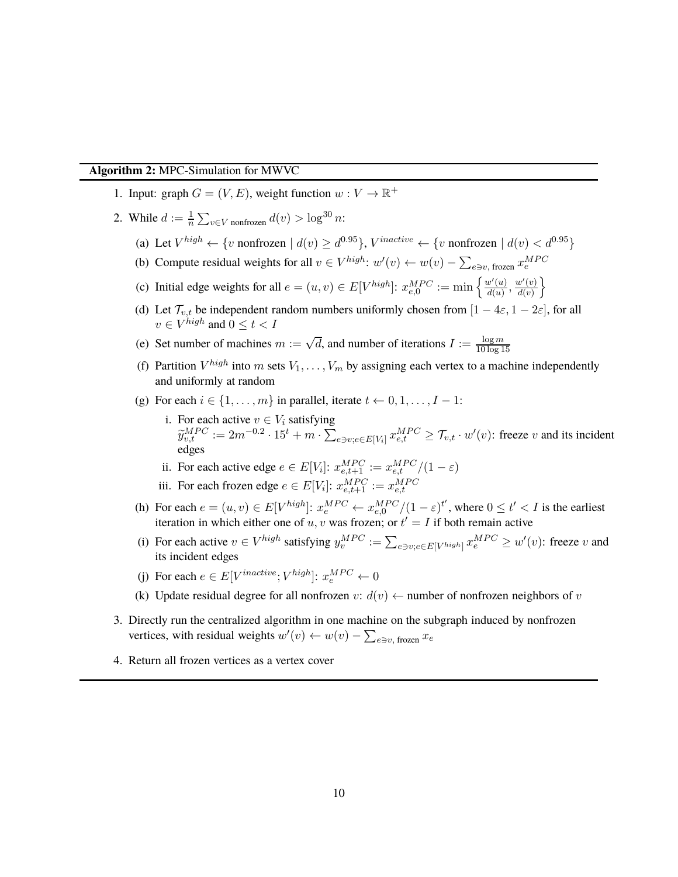#### **Algorithm 2:** MPC-Simulation for MWVC

- <span id="page-9-2"></span>1. Input: graph  $G = (V, E)$ , weight function  $w : V \to \mathbb{R}^+$
- <span id="page-9-10"></span><span id="page-9-9"></span><span id="page-9-6"></span><span id="page-9-0"></span>2. While  $d := \frac{1}{n} \sum_{v \in V} \text{nonfrozen} \ d(v) > \log^{30} n$ :
	- (a) Let  $V^{high} \leftarrow \{v \text{ nonfrozen} \mid d(v) \geq d^{0.95}\}, V^{inactive} \leftarrow \{v \text{ nonfrozen} \mid d(v) < d^{0.95}\}$
	- (b) Compute residual weights for all  $v \in V^{high}$ :  $w'(v) \leftarrow w(v) \sum_{e \ni v, \text{ frozen}} x_e^{MPC}$
	- (c) Initial edge weights for all  $e = (u, v) \in E[V^{high}]$ :  $x_{e,0}^{MPC}$  := min  $\left\{ \frac{w'(u)}{d(u)} \right\}$  $\frac{w'(u)}{d(u)}, \frac{w'(v)}{d(v)}$  $d(v)$  $\mathcal{L}$
	- (d) Let  $\mathcal{T}_{v,t}$  be independent random numbers uniformly chosen from  $[1 4\varepsilon, 1 2\varepsilon]$ , for all  $v \in V^{high}$  and  $0 \le t < I$
	- (e) Set number of machines  $m := \sqrt{d}$ , and number of iterations  $I := \frac{\log m}{10 \log 1}$ 10 log 15
	- (f) Partition  $V^{high}$  into m sets  $V_1, \ldots, V_m$  by assigning each vertex to a machine independently and uniformly at random
	- (g) For each  $i \in \{1, \ldots, m\}$  in parallel, iterate  $t \leftarrow 0, 1, \ldots, I 1$ :
		- i. For each active  $v \in V_i$  satisfying  $\widetilde{y}_{v,t}^{MPC} := 2m^{-0.2} \cdot 15^t + m \cdot \sum_{e \ni v; e \in E[V_i]} x_{e,t}^{MPC} \ge \mathcal{T}_{v,t} \cdot w'(v)$ : freeze v and its incident edges
		- ii. For each active edge  $e \in E[V_i]$ :  $x_{e,t+1}^{MPC} := x_{e,t}^{MPC}/(1 \varepsilon)$
		- iii. For each frozen edge  $e \in E[V_i]$ :  $x_{e,t+1}^{MPC} := x_{e,t}^{MPC}$
	- (h) For each  $e = (u, v) \in E[V^{high}]$ :  $x_e^{MPC} \leftarrow x_{e,0}^{MPC}/(1 \varepsilon)^{t'}$ , where  $0 \le t' < I$  is the earliest iteration in which either one of  $u, v$  was frozen; or  $t' = I$  if both remain active
	- (i) For each active  $v \in V^{high}$  satisfying  $y_v^{MPC} := \sum_{e \ni v; e \in E[V^{high}]} x_e^{MPC} \geq w'(v)$ : freeze v and its incident edges
	- (j) For each  $e \in E[V^{inactive}; V^{high}]$ :  $x_e^{MPC} \leftarrow 0$
	- (k) Update residual degree for all nonfrozen  $v: d(v) \leftarrow$  number of nonfrozen neighbors of v
- <span id="page-9-8"></span><span id="page-9-7"></span><span id="page-9-5"></span><span id="page-9-4"></span><span id="page-9-3"></span>3. Directly run the centralized algorithm in one machine on the subgraph induced by nonfrozen vertices, with residual weights  $w'(v) \leftarrow w(v) - \sum_{e \ni v, \text{ frozen}} x_e$
- <span id="page-9-1"></span>4. Return all frozen vertices as a vertex cover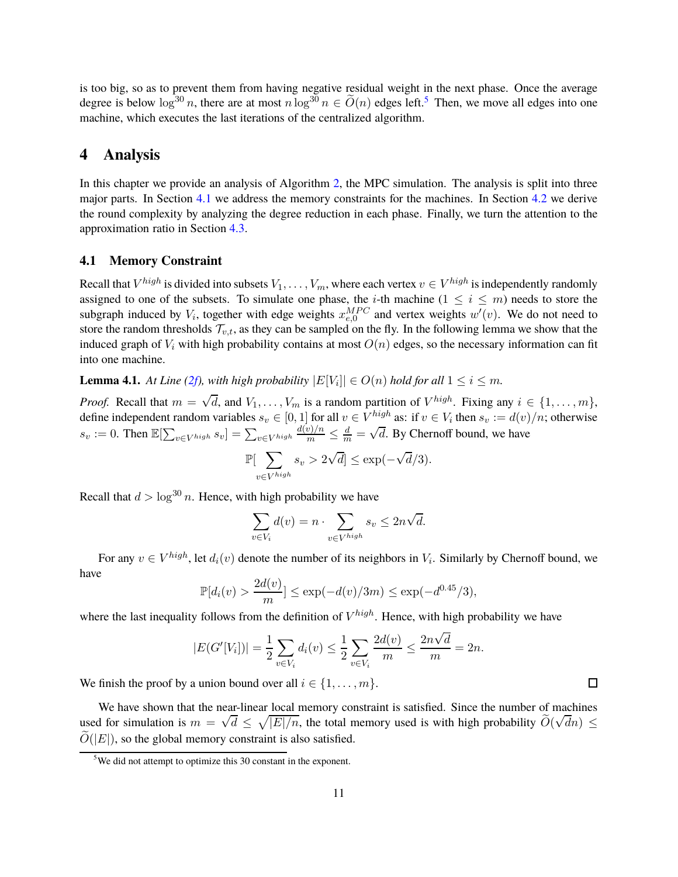is too big, so as to prevent them from having negative residual weight in the next phase. Once the average degree is below  $\log^{30} n$ , there are at most  $n \log^{30} n \in \tilde{O}(n)$  edges left.<sup>[5](#page-10-1)</sup> Then, we move all edges into one machine, which executes the last iterations of the centralized algorithm.

### <span id="page-10-0"></span>**4 Analysis**

In this chapter we provide an analysis of Algorithm [2,](#page-9-1) the MPC simulation. The analysis is split into three major parts. In Section [4.1](#page-10-2) we address the memory constraints for the machines. In Section [4.2](#page-11-1) we derive the round complexity by analyzing the degree reduction in each phase. Finally, we turn the attention to the approximation ratio in Section [4.3.](#page-12-0)

#### <span id="page-10-2"></span>**4.1 Memory Constraint**

Recall that  $V^{high}$  is divided into subsets  $V_1, \ldots, V_m$ , where each vertex  $v \in V^{high}$  is independently randomly assigned to one of the subsets. To simulate one phase, the *i*-th machine  $(1 \le i \le m)$  needs to store the subgraph induced by  $V_i$ , together with edge weights  $x_{e,0}^{MPC}$  and vertex weights  $w'(v)$ . We do not need to store the random thresholds  $\mathcal{T}_{v,t}$ , as they can be sampled on the fly. In the following lemma we show that the induced graph of  $V_i$  with high probability contains at most  $O(n)$  edges, so the necessary information can fit into one machine.

**Lemma 4.1.** *At Line* [\(2f\)](#page-9-6), with high probability  $|E[V_i]| \in O(n)$  hold for all  $1 \leq i \leq m$ .

*Proof.* Recall that  $m = \sqrt{d}$ , and  $V_1, \ldots, V_m$  is a random partition of  $V^{high}$ . Fixing any  $i \in \{1, \ldots, m\}$ , define independent random variables  $s_v \in [0, 1]$  for all  $v \in V^{\text{high}}$  as: if  $v \in V_i$  then  $s_v := d(v)/n$ ; otherwise  $s_v := 0$ . Then  $\mathbb{E}[\sum_{v \in V^{high}} s_v] = \sum_{v \in V^{high}} \frac{d(v)/n}{m} \leq \frac{d}{m} = \sqrt{d}$ . By Chernoff bound, we have

$$
\mathbb{P}[\sum_{v \in V^{high}} s_v > 2\sqrt{d}] \le \exp(-\sqrt{d}/3).
$$

Recall that  $d > log^{30} n$ . Hence, with high probability we have

$$
\sum_{v \in V_i} d(v) = n \cdot \sum_{v \in V^{high}} s_v \le 2n\sqrt{d}.
$$

For any  $v \in V^{high}$ , let  $d_i(v)$  denote the number of its neighbors in  $V_i$ . Similarly by Chernoff bound, we have

$$
\mathbb{P}[d_i(v) > \frac{2d(v)}{m}] \le \exp(-d(v)/3m) \le \exp(-d^{0.45}/3),
$$

where the last inequality follows from the definition of  $V^{high}$ . Hence, with high probability we have

$$
|E(G'[V_i])| = \frac{1}{2} \sum_{v \in V_i} d_i(v) \le \frac{1}{2} \sum_{v \in V_i} \frac{2d(v)}{m} \le \frac{2n\sqrt{d}}{m} = 2n.
$$

We finish the proof by a union bound over all  $i \in \{1, \ldots, m\}$ .

We have shown that the near-linear local memory constraint is satisfied. Since the number of machines used for simulation is  $m = \sqrt{d} \leq \sqrt{|E|/n}$ , the total memory used is with high probability  $\tilde{O}(\sqrt{dn}) \leq$  $\tilde{O}(|E|)$ , so the global memory constraint is also satisfied.

<span id="page-10-1"></span> $5$ We did not attempt to optimize this 30 constant in the exponent.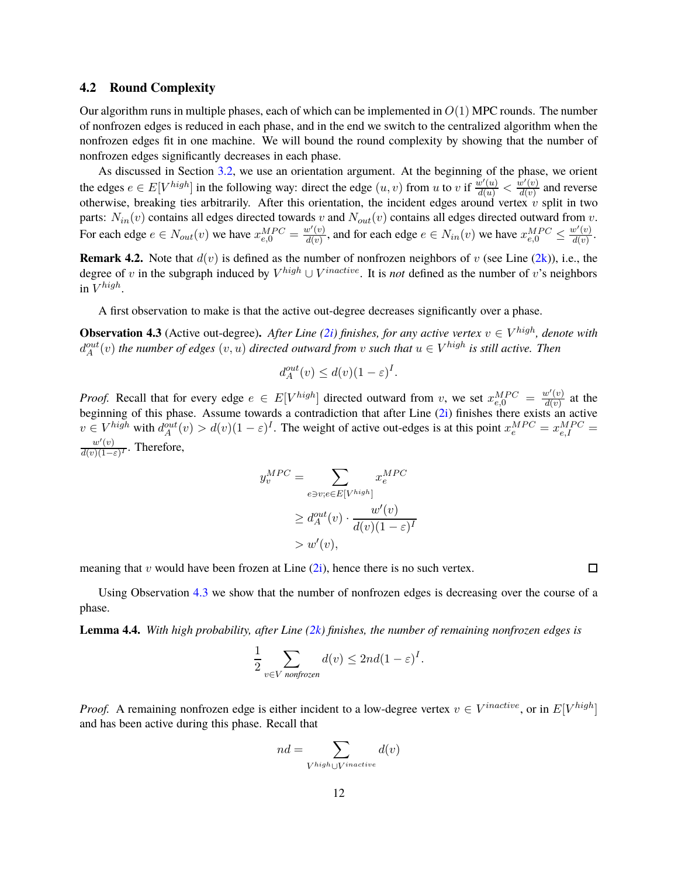#### <span id="page-11-1"></span>**4.2 Round Complexity**

Our algorithm runs in multiple phases, each of which can be implemented in  $O(1)$  MPC rounds. The number of nonfrozen edges is reduced in each phase, and in the end we switch to the centralized algorithm when the nonfrozen edges fit in one machine. We will bound the round complexity by showing that the number of nonfrozen edges significantly decreases in each phase.

As discussed in Section [3.2,](#page-6-0) we use an orientation argument. At the beginning of the phase, we orient the edges  $e \in E[V^{high}]$  in the following way: direct the edge  $(u, v)$  from u to v if  $\frac{w'(u)}{d(u)} < \frac{w'(v)}{d(v)}$  $\frac{d(v)}{d(v)}$  and reverse otherwise, breaking ties arbitrarily. After this orientation, the incident edges around vertex  $v$  split in two parts:  $N_{in}(v)$  contains all edges directed towards v and  $N_{out}(v)$  contains all edges directed outward from v. For each edge  $e \in N_{out}(v)$  we have  $x_{e,0}^{MPC} = \frac{w'(v)}{d(v)}$  $\frac{u'(v)}{d(v)}$ , and for each edge  $e \in N_{in}(v)$  we have  $x_{e,0}^{MPC} \le$  $w'(v)$  $rac{v(v)}{d(v)}$ .

<span id="page-11-0"></span>**Remark 4.2.** Note that  $d(v)$  is defined as the number of nonfrozen neighbors of v (see Line  $(2k)$ ), i.e., the degree of v in the subgraph induced by  $V^{high} \cup V^{inactive}$ . It is *not* defined as the number of v's neighbors in  $V^{high}$ .

<span id="page-11-2"></span>A first observation to make is that the active out-degree decreases significantly over a phase.

**Observation 4.3** (Active out-degree). After Line [\(2i\)](#page-9-8) finishes, for any active vertex  $v \in V^{high}$ , denote with  $d_A^{out}(v)$  the number of edges  $(v, u)$  directed outward from v such that  $u \in V^{high}$  is still active. Then

$$
d_A^{out}(v) \le d(v)(1 - \varepsilon)^I.
$$

*Proof.* Recall that for every edge  $e \in E[V^{high}]$  directed outward from v, we set  $x_{e,0}^{MPC} = \frac{w'(v)}{d(v)}$  $\frac{d(v)}{d(v)}$  at the beginning of this phase. Assume towards a contradiction that after Line [\(2i\)](#page-9-8) finishes there exists an active  $v \in V^{high}$  with  $d_A^{out}(v) > d(v)(1 - \varepsilon)^I$ . The weight of active out-edges is at this point  $x_e^{MPC} = x_{e,I}^{MPC} =$  $w'(v)$  $\frac{w(v)}{d(v)(1-\varepsilon)^{T}}$ . Therefore,

$$
y_v^{MPC} = \sum_{e \ni v; e \in E[V^{high}]} x_e^{MPC}
$$
  
\n
$$
\geq d_A^{out}(v) \cdot \frac{w'(v)}{d(v)(1-\varepsilon)^I}
$$
  
\n
$$
> w'(v),
$$

meaning that v would have been frozen at Line  $(2i)$ , hence there is no such vertex.

<span id="page-11-3"></span>Using Observation [4.3](#page-11-2) we show that the number of nonfrozen edges is decreasing over the course of a phase.

**Lemma 4.4.** *With high probability, after Line [\(2k\)](#page-9-7) finishes, the number of remaining nonfrozen edges is*

$$
\frac{1}{2} \sum_{v \in V \text{ nonfrozen}} d(v) \le 2nd(1-\varepsilon)^I.
$$

*Proof.* A remaining nonfrozen edge is either incident to a low-degree vertex  $v \in V^{inactive}$ , or in  $E[V^{high}]$ and has been active during this phase. Recall that

$$
nd = \sum_{V^{high} \cup V^{inactive}} d(v)
$$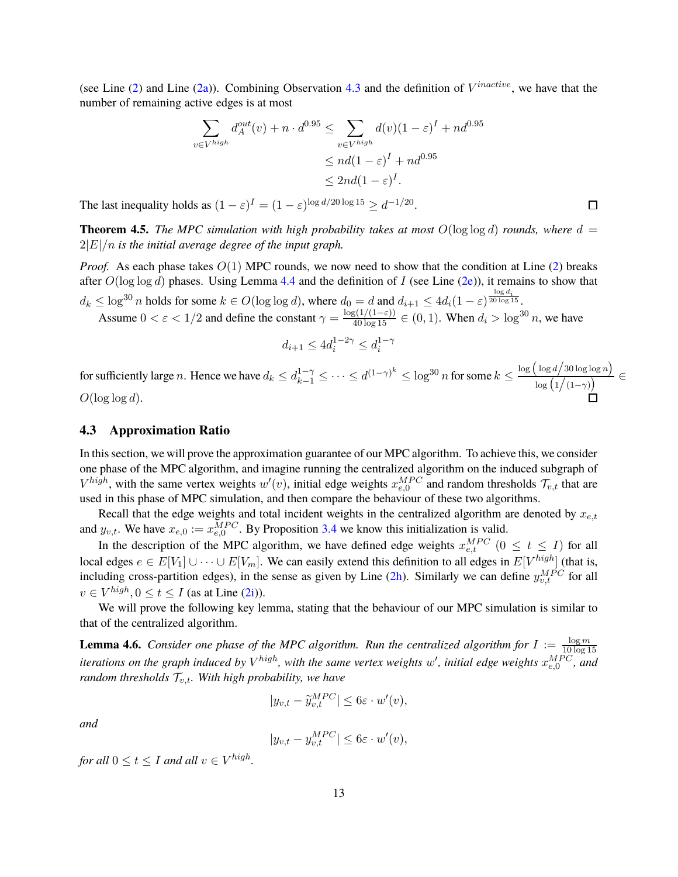(see Line  $(2)$  and Line  $(2a)$ ). Combining Observation [4.3](#page-11-2) and the definition of  $V^{inactive}$ , we have that the number of remaining active edges is at most

$$
\sum_{v \in V^{high}} d_A^{out}(v) + n \cdot d^{0.95} \le \sum_{v \in V^{high}} d(v)(1 - \varepsilon)^I + nd^{0.95}
$$
  

$$
\le nd(1 - \varepsilon)^I + nd^{0.95}
$$
  

$$
\le 2nd(1 - \varepsilon)^I.
$$

The last inequality holds as  $(1 - \varepsilon)^I = (1 - \varepsilon)^{\log d/20 \log 15} \ge d^{-1/20}$ .

**Theorem 4.5.** *The MPC simulation with high probability takes at most*  $O(\log \log d)$  *rounds, where*  $d =$ 2|E|/n *is the initial average degree of the input graph.*

*Proof.* As each phase takes  $O(1)$  MPC rounds, we now need to show that the condition at Line [\(2\)](#page-9-2) breaks after  $O(\log \log d)$  phases. Using Lemma [4.4](#page-11-3) and the definition of I (see Line [\(2e\)](#page-9-10)), it remains to show that  $d_k \leq \log^{30} n$  holds for some  $k \in O(\log \log d)$ , where  $d_0 = d$  and  $d_{i+1} \leq 4d_i(1-\varepsilon)^{\frac{\log d_i}{20\log 15}}$ .

Assume  $0 < \varepsilon < 1/2$  and define the constant  $\gamma = \frac{\log(1/(1-\varepsilon))}{40 \log 15} \in (0, 1)$ . When  $d_i > \log^{30} n$ , we have

$$
d_{i+1} \le 4d_i^{1-2\gamma} \le d_i^{1-\gamma}
$$

for sufficiently large n. Hence we have  $d_k \leq d_{k-1}^{1-\gamma} \leq \cdots \leq d^{(1-\gamma)^k} \leq \log^{30} n$  for some  $k \leq \frac{\log \left(\log d / 30 \log \log n\right)}{\log \left(1/(1-\gamma)\right)}$  $\log\left(1/(1-\gamma)\right)$   $\in$  $O(\log \log d)$ .

#### <span id="page-12-0"></span>**4.3 Approximation Ratio**

In this section, we will prove the approximation guarantee of our MPC algorithm. To achieve this, we consider one phase of the MPC algorithm, and imagine running the centralized algorithm on the induced subgraph of  $V^{high}$ , with the same vertex weights  $w'(v)$ , initial edge weights  $x_{e,0}^{MPC}$  and random thresholds  $\mathcal{T}_{v,t}$  that are used in this phase of MPC simulation, and then compare the behaviour of these two algorithms.

Recall that the edge weights and total incident weights in the centralized algorithm are denoted by  $x_{e,t}$ and  $y_{v,t}$ . We have  $x_{e,0} := x_{e,0}^{MPC}$ . By Proposition [3.4](#page-7-1) we know this initialization is valid.

In the description of the MPC algorithm, we have defined edge weights  $x_{e,t}^{MPC}$  ( $0 \le t \le I$ ) for all local edges  $e \in E[V_1] \cup \cdots \cup E[V_m]$ . We can easily extend this definition to all edges in  $E[V^{high}]$  (that is, including cross-partition edges), in the sense as given by Line  $(2h)$ . Similarly we can define  $y_{v,t}^{MPC}$  for all  $v \in V^{high}, 0 \le t \le I$  (as at Line [\(2i\)](#page-9-8)).

<span id="page-12-1"></span>We will prove the following key lemma, stating that the behaviour of our MPC simulation is similar to that of the centralized algorithm.

**Lemma 4.6.** *Consider one phase of the MPC algorithm. Run the centralized algorithm for*  $I := \frac{\log m}{10 \log 1}$ 10 log 15 iterations on the graph induced by  $V^{high}$ , with the same vertex weights  $w'$ , initial edge weights  $x_{e,0}^{MPC}$ , and *random thresholds*  $\mathcal{T}_{v,t}$ *. With high probability, we have* 

$$
|y_{v,t} - \widetilde{y}_{v,t}^{MPC}| \le 6\varepsilon \cdot w'(v),
$$

*and*

$$
|y_{v,t} - y_{v,t}^{MPC}| \le 6\varepsilon \cdot w'(v),
$$

for all  $0 \le t \le I$  and all  $v \in V^{high}$ .

口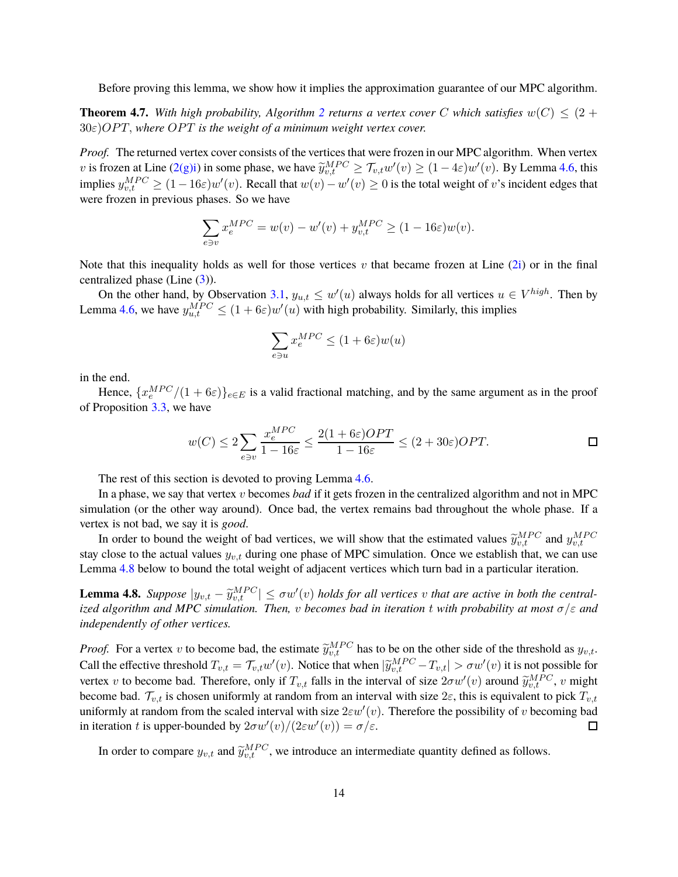Before proving this lemma, we show how it implies the approximation guarantee of our MPC algorithm.

**Theorem 4.7.** With high probability, Algorithm [2](#page-9-1) returns a vertex cover C which satisfies  $w(C) \leq (2 + 1)$  $30\varepsilon$ ) $OPT$ , where  $OPT$  *is the weight of a minimum weight vertex cover.* 

*Proof.* The returned vertex cover consists of the vertices that were frozen in our MPC algorithm. When vertex v is frozen at Line  $(2(g)i)$  in some phase, we have  $\widetilde{y}_{v,t}^{MPC} \ge \mathcal{T}_{v,t} w'(v) \ge (1-4\varepsilon)w'(v)$ . By Lemma [4.6,](#page-12-1) this implies  $y_{v,t}^{MPC} \ge (1-16\varepsilon)w'(v)$ . Recall that  $w(v) - w'(v) \ge 0$  is the total weight of v's incident edges that were frozen in previous phases. So we have

$$
\sum_{e \ni v} x_e^{MPC} = w(v) - w'(v) + y_{v,t}^{MPC} \ge (1 - 16\varepsilon)w(v).
$$

Note that this inequality holds as well for those vertices v that became frozen at Line  $(2i)$  or in the final centralized phase (Line [\(3\)](#page-9-3)).

On the other hand, by Observation [3.1,](#page-5-2)  $y_{u,t} \leq w'(u)$  always holds for all vertices  $u \in V^{high}$ . Then by Lemma [4.6,](#page-12-1) we have  $y_{u,t}^{MPC} \le (1 + 6\varepsilon)w'(u)$  with high probability. Similarly, this implies

$$
\sum_{e \ni u} x_e^{MPC} \leq (1+6\varepsilon) w(u)
$$

in the end.

Hence,  $\{x_e^{MPC}/(1+6\varepsilon)\}_{e\in E}$  is a valid fractional matching, and by the same argument as in the proof of Proposition [3.3,](#page-5-3) we have

$$
w(C) \le 2\sum_{e \ni v} \frac{x_e^{MPC}}{1 - 16\varepsilon} \le \frac{2(1 + 6\varepsilon)OPT}{1 - 16\varepsilon} \le (2 + 30\varepsilon)OPT.
$$

The rest of this section is devoted to proving Lemma [4.6.](#page-12-1)

In a phase, we say that vertex v becomes *bad* if it gets frozen in the centralized algorithm and not in MPC simulation (or the other way around). Once bad, the vertex remains bad throughout the whole phase. If a vertex is not bad, we say it is *good*.

In order to bound the weight of bad vertices, we will show that the estimated values  $\widetilde{y}_{v,t}^{MPC}$  and  $y_{v,t}^{MPC}$ stay close to the actual values  $y_{v,t}$  during one phase of MPC simulation. Once we establish that, we can use Lemma [4.8](#page-13-0) below to bound the total weight of adjacent vertices which turn bad in a particular iteration.

<span id="page-13-0"></span>**Lemma 4.8.** *Suppose*  $|y_{v,t} - \widetilde{y}_{v,t}^{MPC}| \leq \sigma w'(v)$  *holds for all vertices* v *that are active in both the centralized algorithm and MPC simulation. Then,* v *becomes bad in iteration* t *with probability at most* σ/ε *and independently of other vertices.*

*Proof.* For a vertex v to become bad, the estimate  $\tilde{y}_{v,t}^{MPC}$  has to be on the other side of the threshold as  $y_{v,t}$ . Call the effective threshold  $T_{v,t} = \mathcal{T}_{v,t} w'(v)$ . Notice that when  $|\widetilde{y}_{v,t}^{MPC} - T_{v,t}| > \sigma w'(v)$  it is not possible for vertex v to become bad. Therefore, only if  $T_{v,t}$  falls in the interval of size  $2\sigma w'(v)$  around  $\widetilde{y}_{v,t}^{MPC}$ , v might become bad.  $\mathcal{T}_{v,t}$  is chosen uniformly at random from an interval with size  $2\varepsilon$ , this is equivalent to pick  $T_{v,t}$ uniformly at random from the scaled interval with size  $2\varepsilon w'(v)$ . Therefore the possibility of v becoming bad in iteration t is upper-bounded by  $2\sigma w'(v)/(2\varepsilon w'(v)) = \sigma/\varepsilon$ .  $\Box$ 

<span id="page-13-1"></span>In order to compare  $y_{v,t}$  and  $\tilde{y}_{v,t}^{MPC}$ , we introduce an intermediate quantity defined as follows.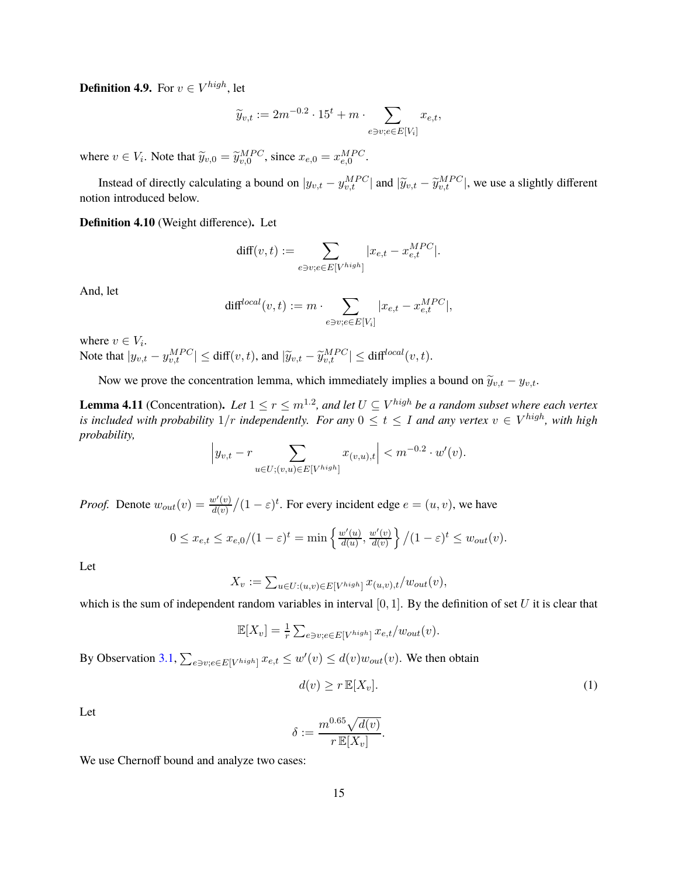**Definition 4.9.** For  $v \in V^{high}$ , let

$$
\widetilde{y}_{v,t} := 2m^{-0.2} \cdot 15^t + m \cdot \sum_{e \ni v; e \in E[V_i]} x_{e,t},
$$

where  $v \in V_i$ . Note that  $\widetilde{y}_{v,0} = \widetilde{y}_{v,0}^{MPC}$ , since  $x_{e,0} = x_{e,0}^{MPC}$ .

Instead of directly calculating a bound on  $|y_{v,t} - y_{v,t}^{MPC}|$  and  $|\widetilde{y}_{v,t} - \widetilde{y}_{v,t}^{MPC}|$ , we use a slightly different notion introduced below.

**Definition 4.10** (Weight difference)**.** Let

$$
\text{diff}(v,t):=\sum_{e\ni v; e\in E[V^{high}]}|x_{e,t}-x_{e,t}^{MPC}|.
$$

And, let

$$
\text{diff}^{local}(v,t) := m \cdot \sum_{e \ni v; e \in E[V_i]} |x_{e,t} - x_{e,t}^{MPC}|,
$$

where  $v \in V_i$ . Note that  $|y_{v,t} - y_{v,t}^{MPC}| \le \text{diff}(v,t)$ , and  $|\widetilde{y}_{v,t} - \widetilde{y}_{v,t}^{MPC}| \le \text{diff}^{\text{local}}(v,t)$ .

<span id="page-14-1"></span>Now we prove the concentration lemma, which immediately implies a bound on  $\tilde{y}_{v,t} - y_{v,t}$ .

**Lemma 4.11** (Concentration). Let  $1 \leq r \leq m^{1.2}$ , and let  $U \subseteq V^{high}$  be a random subset where each vertex *is included with probability*  $1/r$  *independently. For any*  $0 \le t \le I$  *and any vertex*  $v \in V^{high}$ *, with high probability,*

$$
\left| y_{v,t} - r \sum_{u \in U; (v,u) \in E[V^{high}]} x_{(v,u),t} \right| < m^{-0.2} \cdot w'(v).
$$

*Proof.* Denote  $w_{out}(v) = \frac{w'(v)}{d(v)}$  $\frac{u'(v)}{d(v)}/(1-\varepsilon)^t$ . For every incident edge  $e = (u, v)$ , we have

$$
0 \le x_{e,t} \le x_{e,0}/(1-\varepsilon)^t = \min\left\{\frac{w'(u)}{d(u)}, \frac{w'(v)}{d(v)}\right\}/(1-\varepsilon)^t \le w_{out}(v).
$$

Let

$$
X_v := \sum_{u \in U: (u,v) \in E[V^{high}]} x_{(u,v),t}/w_{out}(v),
$$

which is the sum of independent random variables in interval  $[0, 1]$ . By the definition of set U it is clear that

$$
\mathbb{E}[X_v] = \frac{1}{r} \sum_{e \ni v; e \in E[V^{high}]} x_{e,t}/w_{out}(v).
$$

By Observation [3.1,](#page-5-2)  $\sum_{e \ni v; e \in E[V^{high}]} x_{e,t} \leq w'(v) \leq d(v)w_{out}(v)$ . We then obtain

<span id="page-14-0"></span>
$$
d(v) \ge r \mathbb{E}[X_v].
$$
 (1)

Let

$$
\delta := \frac{m^{0.65} \sqrt{d(v)}}{r \mathbb{E}[X_v]}.
$$

We use Chernoff bound and analyze two cases: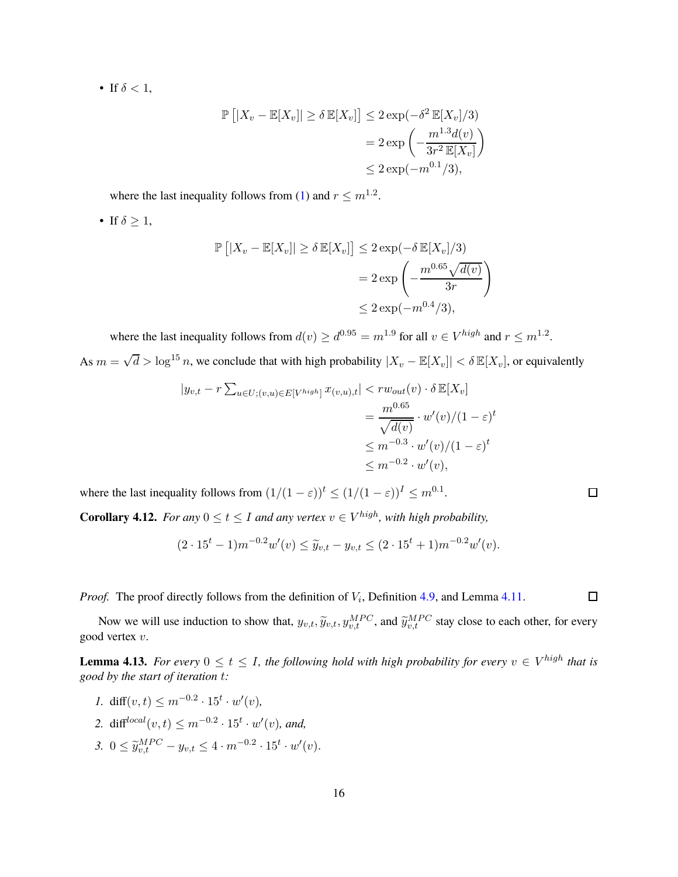• If  $\delta < 1$ ,

$$
\mathbb{P}\left[|X_v - \mathbb{E}[X_v]\right] \ge \delta \mathbb{E}[X_v]\right] \le 2 \exp(-\delta^2 \mathbb{E}[X_v]/3)
$$
  
=  $2 \exp\left(-\frac{m^{1.3}d(v)}{3r^2 \mathbb{E}[X_v]}\right)$   
 $\le 2 \exp(-m^{0.1}/3),$ 

where the last inequality follows from [\(1\)](#page-14-0) and  $r \leq m^{1.2}$ .

• If  $\delta \geq 1$ ,

$$
\mathbb{P}\left[|X_v - \mathbb{E}[X_v]| \ge \delta \mathbb{E}[X_v]\right] \le 2 \exp(-\delta \mathbb{E}[X_v]/3)
$$
  
=  $2 \exp\left(-\frac{m^{0.65}\sqrt{d(v)}}{3r}\right)$   
 $\le 2 \exp(-m^{0.4}/3),$ 

where the last inequality follows from  $d(v) \geq d^{0.95} = m^{1.9}$  for all  $v \in V^{high}$  and  $r \leq m^{1.2}$ . As  $m = \sqrt{d} > \log^{15} n$ , we conclude that with high probability  $|X_v - \mathbb{E}[X_v]| < \delta \mathbb{E}[X_v]$ , or equivalently

$$
|y_{v,t} - r \sum_{u \in U; (v,u) \in E[V^{high}]} x_{(v,u),t}| < rw_{out}(v) \cdot \delta \mathbb{E}[X_v]
$$
  
= 
$$
\frac{m^{0.65}}{\sqrt{d(v)}} \cdot w'(v)/(1-\varepsilon)^t
$$
  

$$
\leq m^{-0.3} \cdot w'(v)/(1-\varepsilon)^t
$$
  

$$
\leq m^{-0.2} \cdot w'(v),
$$

where the last inequality follows from  $(1/(1 - \varepsilon))^t \le (1/(1 - \varepsilon))^I \le m^{0.1}$ .

<span id="page-15-0"></span>**Corollary 4.12.** *For any*  $0 \le t \le I$  *and any vertex*  $v \in V^{high}$ *, with high probability,* 

$$
(2 \cdot 15^t - 1)m^{-0.2}w'(v) \leq \widetilde{y}_{v,t} - y_{v,t} \leq (2 \cdot 15^t + 1)m^{-0.2}w'(v).
$$

*Proof.* The proof directly follows from the definition of  $V_i$ , Definition [4.9,](#page-13-1) and Lemma [4.11.](#page-14-1)

<span id="page-15-1"></span>Now we will use induction to show that,  $y_{v,t}$ ,  $\widetilde{y}_{v,t}$ ,  $y_{v,t}^{MPC}$ , and  $\widetilde{y}_{v,t}^{MPC}$  stay close to each other, for every good vertex v.

**Lemma 4.13.** *For every*  $0 \le t \le I$ , the following hold with high probability for every  $v \in V^{high}$  that is *good by the start of iteration* t*:*

- *1.* diff( $v, t$ )  $\leq m^{-0.2} \cdot 15^t \cdot w'(v)$ ,
- 2.  $diff^{local}(v, t) \leq m^{-0.2} \cdot 15^t \cdot w'(v)$ , and,
- 3.  $0 \leq \widetilde{y}_{v,t}^{MPC} y_{v,t} \leq 4 \cdot m^{-0.2} \cdot 15^t \cdot w'(v)$ .

 $\Box$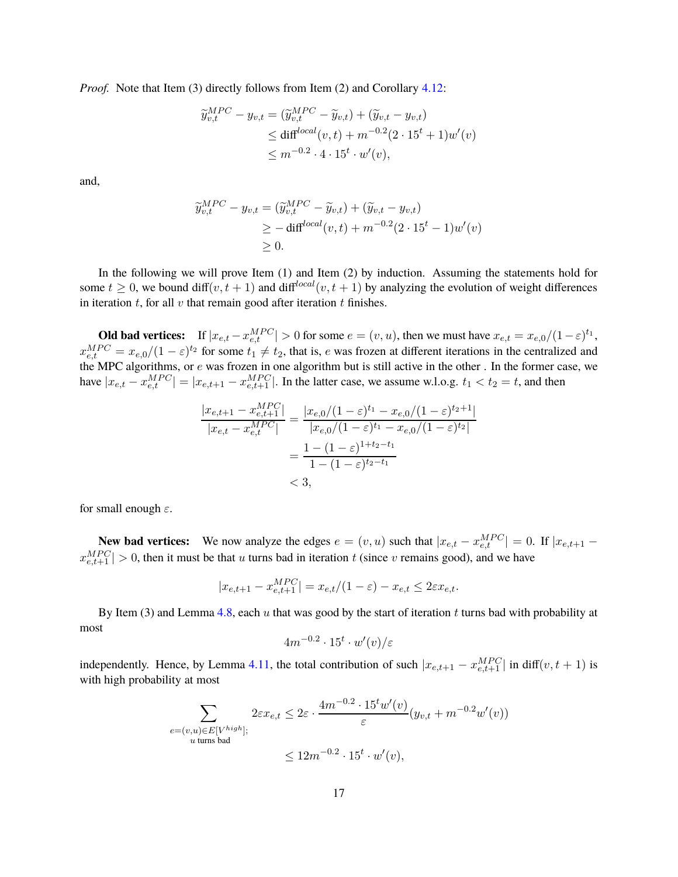*Proof.* Note that Item (3) directly follows from Item (2) and Corollary [4.12:](#page-15-0)

$$
\widetilde{y}_{v,t}^{MPC} - y_{v,t} = (\widetilde{y}_{v,t}^{MPC} - \widetilde{y}_{v,t}) + (\widetilde{y}_{v,t} - y_{v,t})
$$
\n
$$
\leq \text{diff}^{local}(v,t) + m^{-0.2}(2 \cdot 15^t + 1)w'(v)
$$
\n
$$
\leq m^{-0.2} \cdot 4 \cdot 15^t \cdot w'(v),
$$

and,

$$
\widetilde{y}_{v,t}^{MPC} - y_{v,t} = (\widetilde{y}_{v,t}^{MPC} - \widetilde{y}_{v,t}) + (\widetilde{y}_{v,t} - y_{v,t})
$$
\n
$$
\geq -\operatorname{diff}^{local}(v,t) + m^{-0.2}(2 \cdot 15^t - 1)w'(v)
$$
\n
$$
\geq 0.
$$

In the following we will prove Item (1) and Item (2) by induction. Assuming the statements hold for some  $t \geq 0$ , we bound diff $(v, t + 1)$  and diff<sup>local</sup> $(v, t + 1)$  by analyzing the evolution of weight differences in iteration  $t$ , for all  $v$  that remain good after iteration  $t$  finishes.

**Old bad vertices:** If  $|x_{e,t} - x_{e,t}^{MPC}| > 0$  for some  $e = (v, u)$ , then we must have  $x_{e,t} = x_{e,0}/(1 - \varepsilon)^{t_1}$ ,  $x_{e,t}^{MPC} = x_{e,0}/(1-\varepsilon)^{t_2}$  for some  $t_1 \neq t_2$ , that is, e was frozen at different iterations in the centralized and the MPC algorithms, or e was frozen in one algorithm but is still active in the other . In the former case, we have  $|x_{e,t} - x_{e,t}^{MPC}| = |x_{e,t+1} - x_{e,t+1}^{MPC}|$ . In the latter case, we assume w.l.o.g.  $t_1 < t_2 = t$ , and then

$$
\frac{|x_{e,t+1} - x_{e,t+1}^{MPC}|}{|x_{e,t} - x_{e,t}^{MPC}|} = \frac{|x_{e,0}/(1-\varepsilon)^{t_1} - x_{e,0}/(1-\varepsilon)^{t_2+1}|}{|x_{e,0}/(1-\varepsilon)^{t_1} - x_{e,0}/(1-\varepsilon)^{t_2}|}
$$

$$
= \frac{1 - (1-\varepsilon)^{1+t_2-t_1}}{1 - (1-\varepsilon)^{t_2-t_1}}
$$

$$
< 3,
$$

for small enough  $\varepsilon$ .

**New bad vertices:** We now analyze the edges  $e = (v, u)$  such that  $|x_{e,t} - x_{e,t}^{MPC}| = 0$ . If  $|x_{e,t+1}$  $x_{e,t+1}^{MPC}$  | > 0, then it must be that u turns bad in iteration t (since v remains good), and we have

$$
|x_{e,t+1} - x_{e,t+1}^{MPC}| = x_{e,t}/(1 - \varepsilon) - x_{e,t} \le 2\varepsilon x_{e,t}.
$$

By Item (3) and Lemma [4.8,](#page-13-0) each u that was good by the start of iteration t turns bad with probability at most

$$
4m^{-0.2} \cdot 15^t \cdot w'(v)/\varepsilon
$$

independently. Hence, by Lemma [4.11,](#page-14-1) the total contribution of such  $|x_{e,t+1} - x_{e,t+1}^{MPC}|$  in diff $(v, t + 1)$  is with high probability at most

$$
\sum_{\substack{e=(v,u)\in E[V^{high}];\\u \text{ turns bad}}} 2\varepsilon x_{e,t} \leq 2\varepsilon \cdot \frac{4m^{-0.2} \cdot 15^t w'(v)}{\varepsilon} (y_{v,t} + m^{-0.2} w'(v))
$$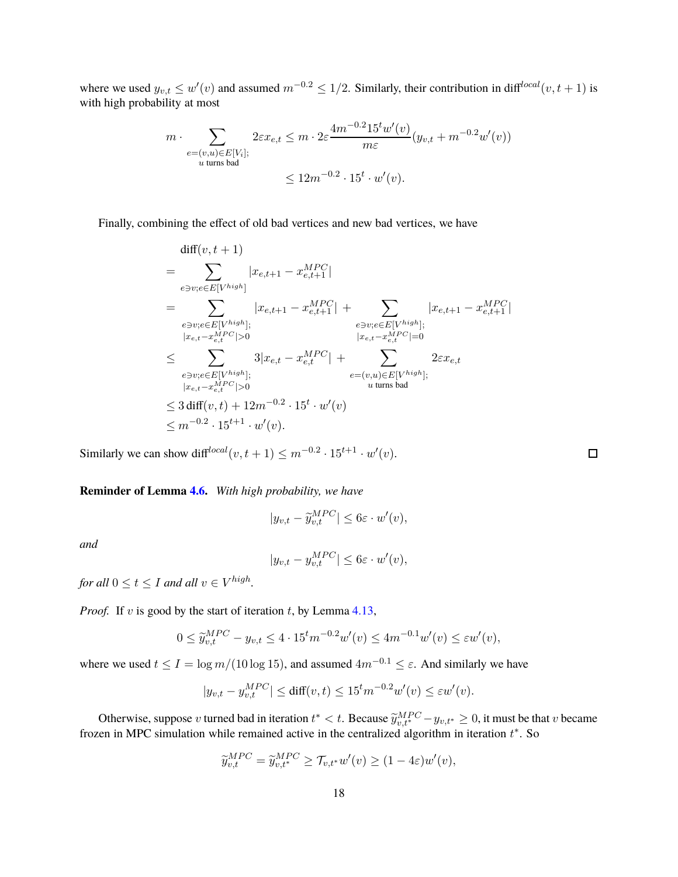where we used  $y_{v,t} \leq w'(v)$  and assumed  $m^{-0.2} \leq 1/2$ . Similarly, their contribution in diff<sup>local</sup> $(v, t + 1)$  is with high probability at most

$$
m \cdot \sum_{\substack{e = (v, u) \in E[V_i]; \\ u \text{ turns bad}}} 2\varepsilon x_{e,t} \le m \cdot 2\varepsilon \frac{4m^{-0.2}15^t w'(v)}{m\varepsilon} (y_{v,t} + m^{-0.2} w'(v))
$$
  

$$
\le 12m^{-0.2} \cdot 15^t \cdot w'(v).
$$

Finally, combining the effect of old bad vertices and new bad vertices, we have

$$
diff(v, t + 1)
$$
\n
$$
= \sum_{e \ni v; e \in E[V^{high}]} |x_{e,t+1} - x_{e,t+1}^{MPC}|
$$
\n
$$
= \sum_{e \ni v; e \in E[V^{high}]; \atop |x_{e,t} - x_{e,t}^{MPC}| > 0} |x_{e,t+1} - x_{e,t+1}^{MPC}| + \sum_{e \ni v; e \in E[V^{high}]; \atop |x_{e,t} - x_{e,t}^{MPC}| = 0} |x_{e,t} - x_{e,t}^{MPC}| = 0
$$
\n
$$
\leq \sum_{e \ni v; e \in E[V^{high}]; \atop |x_{e,t} - x_{e,t}^{MPC}| > 0} 3|x_{e,t} - x_{e,t}^{MPC}| + \sum_{e = (v,u) \in E[V^{high}]; \atop u \text{ turns bad}} 2\varepsilon x_{e,t}
$$
\n
$$
\leq 3 \text{ diff}(v, t) + 12m^{-0.2} \cdot 15^t \cdot w'(v)
$$
\n
$$
\leq m^{-0.2} \cdot 15^{t+1} \cdot w'(v).
$$

Similarly we can show diff<sup>local</sup> $(v, t + 1) \le m^{-0.2} \cdot 15^{t+1} \cdot w'(v)$ .

**Reminder of Lemma [4.6.](#page-12-1)** *With high probability, we have*

$$
|y_{v,t} - \widetilde{y}_{v,t}^{MPC}| \le 6\varepsilon \cdot w'(v),
$$

*and*

$$
|y_{v,t} - y_{v,t}^{MPC}| \le 6\varepsilon \cdot w'(v),
$$

for all  $0 \le t \le I$  and all  $v \in V^{high}$ .

*Proof.* If v is good by the start of iteration t, by Lemma  $4.13$ ,

$$
0 \le \widetilde{y}_{v,t}^{MPC} - y_{v,t} \le 4 \cdot 15^t m^{-0.2} w'(v) \le 4m^{-0.1} w'(v) \le \varepsilon w'(v),
$$

where we used  $t \leq I = \log m/(10 \log 15)$ , and assumed  $4m^{-0.1} \leq \varepsilon$ . And similarly we have

$$
|y_{v,t} - y_{v,t}^{MPC}| \le \text{diff}(v,t) \le 15^t m^{-0.2} w'(v) \le \varepsilon w'(v).
$$

Otherwise, suppose v turned bad in iteration  $t^* < t$ . Because  $\widetilde{y}_{v,t^*}^{MPC} - y_{v,t^*} \ge 0$ , it must be that v became frozen in MPC simulation while remained active in the centralized algorithm in iteration  $t^*$ . So

$$
\widetilde{y}_{v,t}^{MPC} = \widetilde{y}_{v,t^*}^{MPC} \ge \mathcal{T}_{v,t^*} w'(v) \ge (1 - 4\varepsilon)w'(v),
$$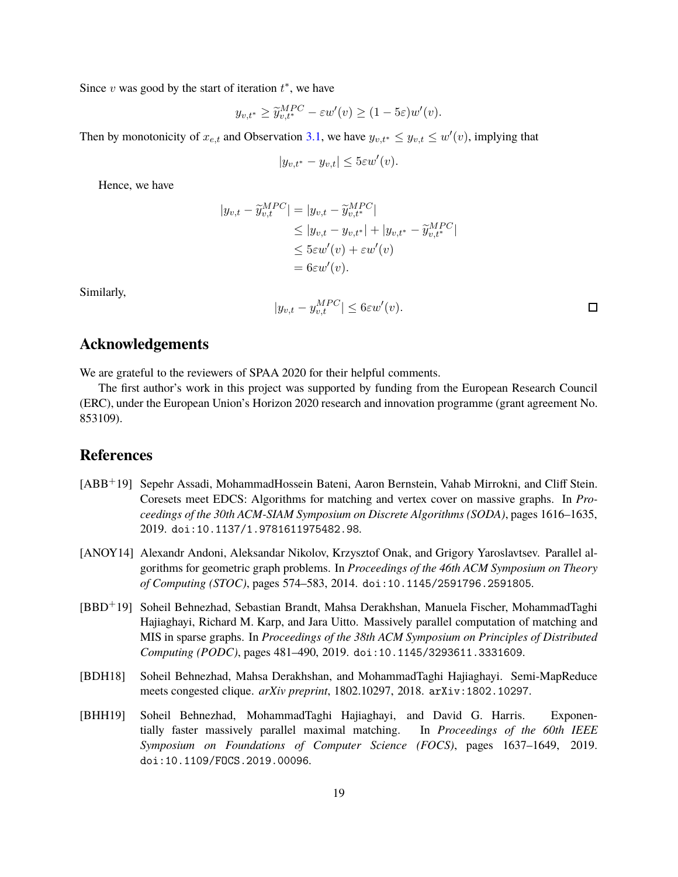Since  $v$  was good by the start of iteration  $t^*$ , we have

$$
y_{v,t^*} \ge \widetilde{y}_{v,t^*}^{MPC} - \varepsilon w'(v) \ge (1 - 5\varepsilon)w'(v).
$$

Then by monotonicity of  $x_{e,t}$  and Observation [3.1,](#page-5-2) we have  $y_{v,t^*} \leq y_{v,t} \leq w'(v)$ , implying that

$$
|y_{v,t^*} - y_{v,t}| \le 5\varepsilon w'(v).
$$

Hence, we have

$$
|y_{v,t} - \widetilde{y}_{v,t}^{MPC}| = |y_{v,t} - \widetilde{y}_{v,t^*}^{MPC}|
$$
  
\n
$$
\leq |y_{v,t} - y_{v,t^*}| + |y_{v,t^*} - \widetilde{y}_{v,t^*}^{MPC}|
$$
  
\n
$$
\leq 5\epsilon w'(v) + \epsilon w'(v)
$$
  
\n
$$
= 6\epsilon w'(v).
$$

Similarly,

$$
|y_{v,t} - y_{v,t}^{MPC}| \leq 6\varepsilon w'(v).
$$

### **Acknowledgements**

We are grateful to the reviewers of SPAA 2020 for their helpful comments.

The first author's work in this project was supported by funding from the European Research Council (ERC), under the European Union's Horizon 2020 research and innovation programme (grant agreement No. 853109).

## **References**

- <span id="page-18-2"></span>[ABB+19] Sepehr Assadi, MohammadHossein Bateni, Aaron Bernstein, Vahab Mirrokni, and Cliff Stein. Coresets meet EDCS: Algorithms for matching and vertex cover on massive graphs. In *Proceedings of the 30th ACM-SIAM Symposium on Discrete Algorithms (SODA)*, pages 1616–1635, 2019. [doi:10.1137/1.9781611975482.98](http://dx.doi.org/10.1137/1.9781611975482.98).
- <span id="page-18-1"></span>[ANOY14] Alexandr Andoni, Aleksandar Nikolov, Krzysztof Onak, and Grigory Yaroslavtsev. Parallel algorithms for geometric graph problems. In *Proceedings of the 46th ACM Symposium on Theory of Computing (STOC)*, pages 574–583, 2014. [doi:10.1145/2591796.2591805](http://dx.doi.org/10.1145/2591796.2591805).
- <span id="page-18-3"></span>[BBD+19] Soheil Behnezhad, Sebastian Brandt, Mahsa Derakhshan, Manuela Fischer, MohammadTaghi Hajiaghayi, Richard M. Karp, and Jara Uitto. Massively parallel computation of matching and MIS in sparse graphs. In *Proceedings of the 38th ACM Symposium on Principles of Distributed Computing (PODC)*, pages 481–490, 2019. [doi:10.1145/3293611.3331609](http://dx.doi.org/10.1145/3293611.3331609).
- <span id="page-18-4"></span>[BDH18] Soheil Behnezhad, Mahsa Derakhshan, and MohammadTaghi Hajiaghayi. Semi-MapReduce meets congested clique. *arXiv preprint*, 1802.10297, 2018. [arXiv:1802.10297](http://arxiv.org/abs/1802.10297).
- <span id="page-18-0"></span>[BHH19] Soheil Behnezhad, MohammadTaghi Hajiaghayi, and David G. Harris. Exponentially faster massively parallel maximal matching. In *Proceedings of the 60th IEEE Symposium on Foundations of Computer Science (FOCS)*, pages 1637–1649, 2019. [doi:10.1109/FOCS.2019.00096](http://dx.doi.org/10.1109/FOCS.2019.00096).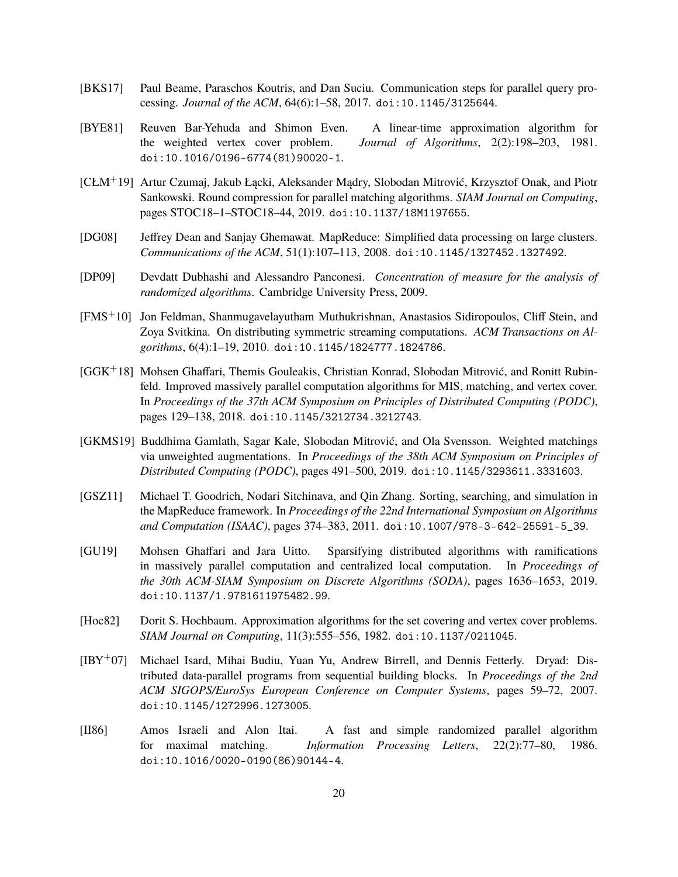- <span id="page-19-6"></span>[BKS17] Paul Beame, Paraschos Koutris, and Dan Suciu. Communication steps for parallel query processing. *Journal of the ACM*, 64(6):1–58, 2017. [doi:10.1145/3125644](http://dx.doi.org/10.1145/3125644).
- <span id="page-19-12"></span>[BYE81] Reuven Bar-Yehuda and Shimon Even. A linear-time approximation algorithm for the weighted vertex cover problem. *Journal of Algorithms*, 2(2):198–203, 1981. [doi:10.1016/0196-6774\(81\)90020-1](http://dx.doi.org/10.1016/0196-6774(81)90020-1).
- <span id="page-19-3"></span>[CŁM+19] Artur Czumaj, Jakub Łącki, Aleksander Mądry, Slobodan Mitrović, Krzysztof Onak, and Piotr Sankowski. Round compression for parallel matching algorithms. *SIAM Journal on Computing*, pages STOC18–1–STOC18–44, 2019. [doi:10.1137/18M1197655](http://dx.doi.org/10.1137/18M1197655).
- <span id="page-19-0"></span>[DG08] Jeffrey Dean and Sanjay Ghemawat. MapReduce: Simplified data processing on large clusters. *Communications of the ACM*, 51(1):107–113, 2008. [doi:10.1145/1327452.1327492](http://dx.doi.org/10.1145/1327452.1327492).
- <span id="page-19-10"></span>[DP09] Devdatt Dubhashi and Alessandro Panconesi. *Concentration of measure for the analysis of randomized algorithms*. Cambridge University Press, 2009.
- <span id="page-19-5"></span>[FMS+10] Jon Feldman, Shanmugavelayutham Muthukrishnan, Anastasios Sidiropoulos, Cliff Stein, and Zoya Svitkina. On distributing symmetric streaming computations. *ACM Transactions on Algorithms*, 6(4):1–19, 2010. [doi:10.1145/1824777.1824786](http://dx.doi.org/10.1145/1824777.1824786).
- <span id="page-19-4"></span>[GGK+18] Mohsen Ghaffari, Themis Gouleakis, Christian Konrad, Slobodan Mitrović, and Ronitt Rubinfeld. Improved massively parallel computation algorithms for MIS, matching, and vertex cover. In *Proceedings of the 37th ACM Symposium on Principles of Distributed Computing (PODC)*, pages 129–138, 2018. [doi:10.1145/3212734.3212743](http://dx.doi.org/10.1145/3212734.3212743).
- <span id="page-19-8"></span>[GKMS19] Buddhima Gamlath, Sagar Kale, Slobodan Mitrović, and Ola Svensson. Weighted matchings via unweighted augmentations. In *Proceedings of the 38th ACM Symposium on Principles of Distributed Computing (PODC)*, pages 491–500, 2019. [doi:10.1145/3293611.3331603](http://dx.doi.org/10.1145/3293611.3331603).
- <span id="page-19-2"></span>[GSZ11] Michael T. Goodrich, Nodari Sitchinava, and Qin Zhang. Sorting, searching, and simulation in the MapReduce framework. In *Proceedings of the 22nd International Symposium on Algorithms and Computation (ISAAC)*, pages 374–383, 2011. [doi:10.1007/978-3-642-25591-5\\_39](http://dx.doi.org/10.1007/978-3-642-25591-5_39).
- <span id="page-19-9"></span>[GU19] Mohsen Ghaffari and Jara Uitto. Sparsifying distributed algorithms with ramifications in massively parallel computation and centralized local computation. In *Proceedings of the 30th ACM-SIAM Symposium on Discrete Algorithms (SODA)*, pages 1636–1653, 2019. [doi:10.1137/1.9781611975482.99](http://dx.doi.org/10.1137/1.9781611975482.99).
- <span id="page-19-11"></span>[Hoc82] Dorit S. Hochbaum. Approximation algorithms for the set covering and vertex cover problems. *SIAM Journal on Computing*, 11(3):555–556, 1982. [doi:10.1137/0211045](http://dx.doi.org/10.1137/0211045).
- <span id="page-19-1"></span>[IBY+07] Michael Isard, Mihai Budiu, Yuan Yu, Andrew Birrell, and Dennis Fetterly. Dryad: Distributed data-parallel programs from sequential building blocks. In *Proceedings of the 2nd ACM SIGOPS/EuroSys European Conference on Computer Systems*, pages 59–72, 2007. [doi:10.1145/1272996.1273005](http://dx.doi.org/10.1145/1272996.1273005).
- <span id="page-19-7"></span>[II86] Amos Israeli and Alon Itai. A fast and simple randomized parallel algorithm for maximal matching. *Information Processing Letters*, 22(2):77–80, 1986. [doi:10.1016/0020-0190\(86\)90144-4](http://dx.doi.org/10.1016/0020-0190(86)90144-4).